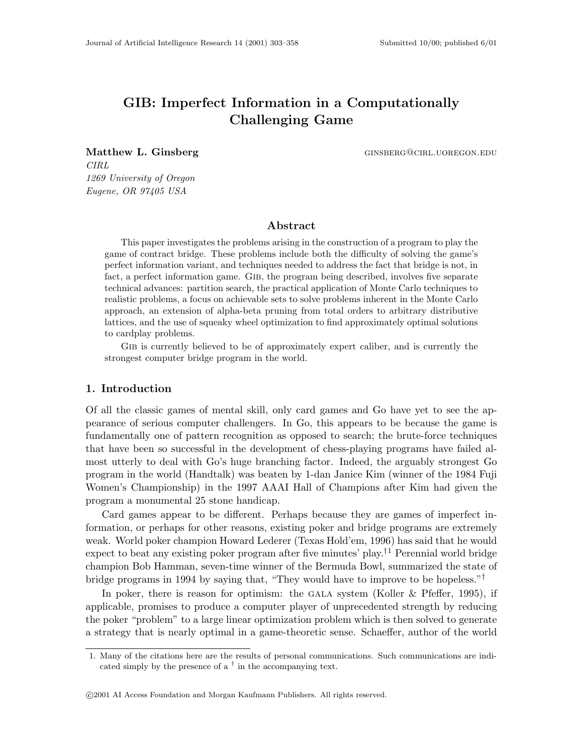# GIB: Imperfect Information in a Computationally Challenging Game

Matthew L. Ginsberg **ginsberg** ginsberg ginsberg@cirl.uor.edu.edu

CIRL 1269 University of Oregon Eugene, OR 97405 USA

### Abstract

This paper investigates the problems arising in the construction of a program to play the game of contract bridge. These problems include both the difficulty of solving the game's perfect information variant, and techniques needed to address the fact that bridge is not, in fact, a perfect information game. GIB, the program being described, involves five separate technical advances: partition search, the practical application of Monte Carlo techniques to realistic problems, a focus on achievable sets to solve problems inherent in the Monte Carlo approach, an extension of alpha-beta pruning from total orders to arbitrary distributive lattices, and the use of squeaky wheel optimization to find approximately optimal solutions to cardplay problems.

GIB is currently believed to be of approximately expert caliber, and is currently the strongest computer bridge program in the world.

# 1. Introduction

Of all the classic games of mental skill, only card games and Go have yet to see the appearance of serious computer challengers. In Go, this appears to be because the game is fundamentally one of pattern recognition as opposed to search; the brute-force techniques that have been so successful in the development of chess-playing programs have failed almost utterly to deal with Go's huge branching factor. Indeed, the arguably strongest Go program in the world (Handtalk) was beaten by 1-dan Janice Kim (winner of the 1984 Fuji Women's Championship) in the 1997 AAAI Hall of Champions after Kim had given the program a monumental 25 stone handicap.

Card games appear to be different. Perhaps because they are games of imperfect information, or perhaps for other reasons, existing poker and bridge programs are extremely weak. World poker champion Howard Lederer (Texas Hold'em, 1996) has said that he would expect to beat any existing poker program after five minutes' play.<sup>†1</sup> Perennial world bridge champion Bob Hamman, seven-time winner of the Bermuda Bowl, summarized the state of bridge programs in 1994 by saying that, "They would have to improve to be hopeless."†

In poker, there is reason for optimism: the GALA system (Koller  $\&$  Pfeffer, 1995), if applicable, promises to produce a computer player of unprecedented strength by reducing the poker "problem" to a large linear optimization problem which is then solved to generate a strategy that is nearly optimal in a game-theoretic sense. Schaeffer, author of the world

<sup>1.</sup> Many of the citations here are the results of personal communications. Such communications are indicated simply by the presence of a  $^{\dagger}$  in the accompanying text.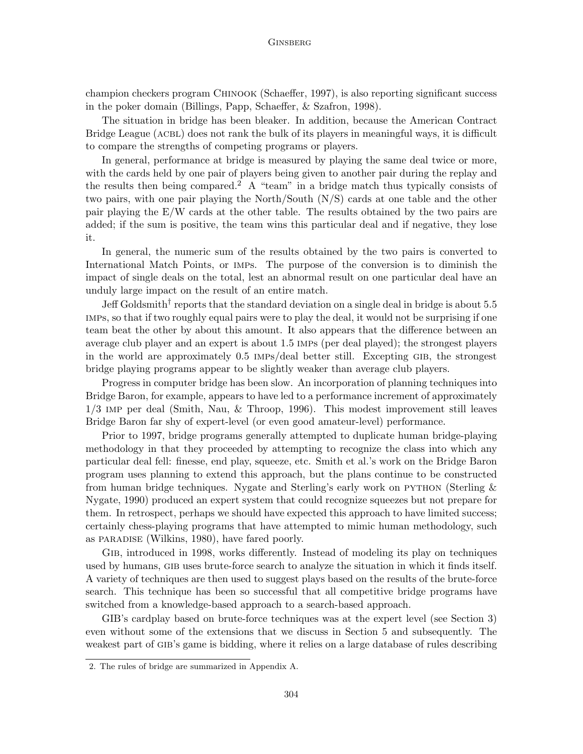champion checkers program Chinook (Schaeffer, 1997), is also reporting significant success in the poker domain (Billings, Papp, Schaeffer, & Szafron, 1998).

The situation in bridge has been bleaker. In addition, because the American Contract Bridge League (ACBL) does not rank the bulk of its players in meaningful ways, it is difficult to compare the strengths of competing programs or players.

In general, performance at bridge is measured by playing the same deal twice or more, with the cards held by one pair of players being given to another pair during the replay and the results then being compared.<sup>2</sup> A "team" in a bridge match thus typically consists of two pairs, with one pair playing the North/South (N/S) cards at one table and the other pair playing the E/W cards at the other table. The results obtained by the two pairs are added; if the sum is positive, the team wins this particular deal and if negative, they lose it.

In general, the numeric sum of the results obtained by the two pairs is converted to International Match Points, or imps. The purpose of the conversion is to diminish the impact of single deals on the total, lest an abnormal result on one particular deal have an unduly large impact on the result of an entire match.

Jeff Goldsmith<sup>†</sup> reports that the standard deviation on a single deal in bridge is about 5.5 imps, so that if two roughly equal pairs were to play the deal, it would not be surprising if one team beat the other by about this amount. It also appears that the difference between an average club player and an expert is about 1.5 imps (per deal played); the strongest players in the world are approximately 0.5 imps/deal better still. Excepting gib, the strongest bridge playing programs appear to be slightly weaker than average club players.

Progress in computer bridge has been slow. An incorporation of planning techniques into Bridge Baron, for example, appears to have led to a performance increment of approximately 1/3 imp per deal (Smith, Nau, & Throop, 1996). This modest improvement still leaves Bridge Baron far shy of expert-level (or even good amateur-level) performance.

Prior to 1997, bridge programs generally attempted to duplicate human bridge-playing methodology in that they proceeded by attempting to recognize the class into which any particular deal fell: finesse, end play, squeeze, etc. Smith et al.'s work on the Bridge Baron program uses planning to extend this approach, but the plans continue to be constructed from human bridge techniques. Nygate and Sterling's early work on PYTHON (Sterling  $\&$ Nygate, 1990) produced an expert system that could recognize squeezes but not prepare for them. In retrospect, perhaps we should have expected this approach to have limited success; certainly chess-playing programs that have attempted to mimic human methodology, such as paradise (Wilkins, 1980), have fared poorly.

Gib, introduced in 1998, works differently. Instead of modeling its play on techniques used by humans, GIB uses brute-force search to analyze the situation in which it finds itself. A variety of techniques are then used to suggest plays based on the results of the brute-force search. This technique has been so successful that all competitive bridge programs have switched from a knowledge-based approach to a search-based approach.

GIB's cardplay based on brute-force techniques was at the expert level (see Section 3) even without some of the extensions that we discuss in Section 5 and subsequently. The weakest part of GIB's game is bidding, where it relies on a large database of rules describing

<sup>2.</sup> The rules of bridge are summarized in Appendix A.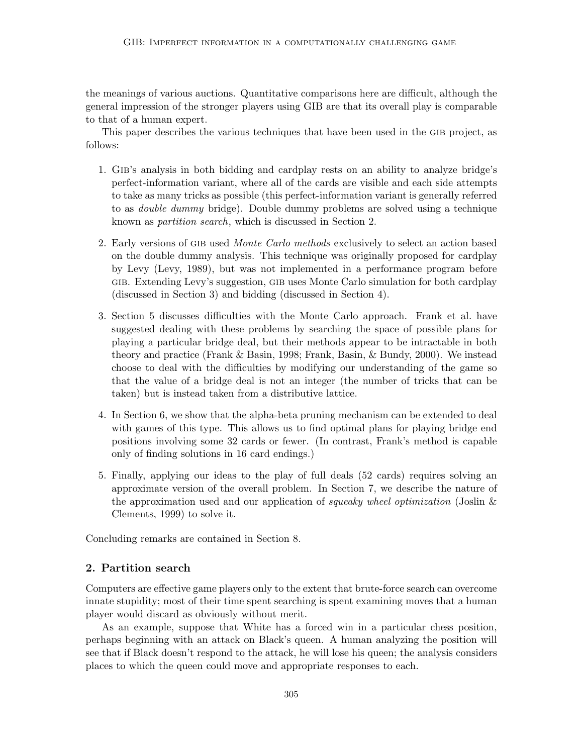the meanings of various auctions. Quantitative comparisons here are difficult, although the general impression of the stronger players using GIB are that its overall play is comparable to that of a human expert.

This paper describes the various techniques that have been used in the GIB project, as follows:

- 1. Gib's analysis in both bidding and cardplay rests on an ability to analyze bridge's perfect-information variant, where all of the cards are visible and each side attempts to take as many tricks as possible (this perfect-information variant is generally referred to as double dummy bridge). Double dummy problems are solved using a technique known as partition search, which is discussed in Section 2.
- 2. Early versions of GIB used *Monte Carlo methods* exclusively to select an action based on the double dummy analysis. This technique was originally proposed for cardplay by Levy (Levy, 1989), but was not implemented in a performance program before gib. Extending Levy's suggestion, gib uses Monte Carlo simulation for both cardplay (discussed in Section 3) and bidding (discussed in Section 4).
- 3. Section 5 discusses difficulties with the Monte Carlo approach. Frank et al. have suggested dealing with these problems by searching the space of possible plans for playing a particular bridge deal, but their methods appear to be intractable in both theory and practice (Frank & Basin, 1998; Frank, Basin, & Bundy, 2000). We instead choose to deal with the difficulties by modifying our understanding of the game so that the value of a bridge deal is not an integer (the number of tricks that can be taken) but is instead taken from a distributive lattice.
- 4. In Section 6, we show that the alpha-beta pruning mechanism can be extended to deal with games of this type. This allows us to find optimal plans for playing bridge end positions involving some 32 cards or fewer. (In contrast, Frank's method is capable only of finding solutions in 16 card endings.)
- 5. Finally, applying our ideas to the play of full deals (52 cards) requires solving an approximate version of the overall problem. In Section 7, we describe the nature of the approximation used and our application of *squeaky wheel optimization* (Joslin  $\&$ Clements, 1999) to solve it.

Concluding remarks are contained in Section 8.

# 2. Partition search

Computers are effective game players only to the extent that brute-force search can overcome innate stupidity; most of their time spent searching is spent examining moves that a human player would discard as obviously without merit.

As an example, suppose that White has a forced win in a particular chess position, perhaps beginning with an attack on Black's queen. A human analyzing the position will see that if Black doesn't respond to the attack, he will lose his queen; the analysis considers places to which the queen could move and appropriate responses to each.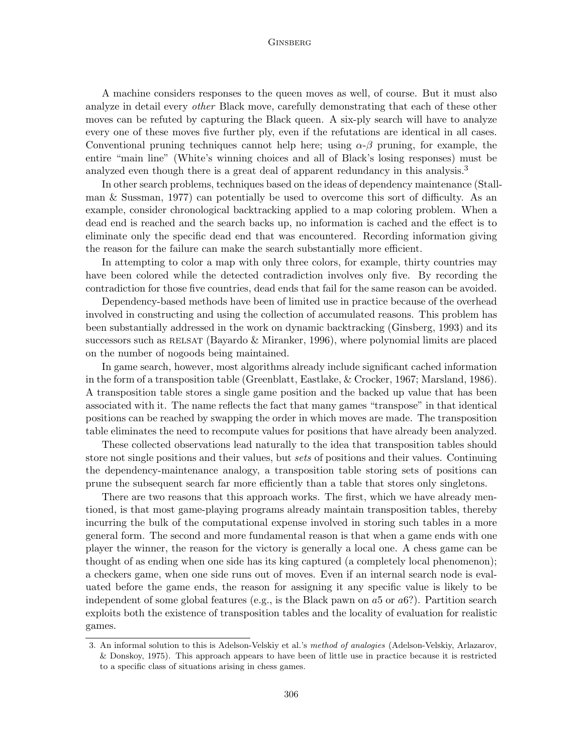A machine considers responses to the queen moves as well, of course. But it must also analyze in detail every *other* Black move, carefully demonstrating that each of these other moves can be refuted by capturing the Black queen. A six-ply search will have to analyze every one of these moves five further ply, even if the refutations are identical in all cases. Conventional pruning techniques cannot help here; using  $\alpha-\beta$  pruning, for example, the entire "main line" (White's winning choices and all of Black's losing responses) must be analyzed even though there is a great deal of apparent redundancy in this analysis.<sup>3</sup>

In other search problems, techniques based on the ideas of dependency maintenance (Stallman & Sussman, 1977) can potentially be used to overcome this sort of difficulty. As an example, consider chronological backtracking applied to a map coloring problem. When a dead end is reached and the search backs up, no information is cached and the effect is to eliminate only the specific dead end that was encountered. Recording information giving the reason for the failure can make the search substantially more efficient.

In attempting to color a map with only three colors, for example, thirty countries may have been colored while the detected contradiction involves only five. By recording the contradiction for those five countries, dead ends that fail for the same reason can be avoided.

Dependency-based methods have been of limited use in practice because of the overhead involved in constructing and using the collection of accumulated reasons. This problem has been substantially addressed in the work on dynamic backtracking (Ginsberg, 1993) and its successors such as RELSAT (Bayardo  $&$  Miranker, 1996), where polynomial limits are placed on the number of nogoods being maintained.

In game search, however, most algorithms already include significant cached information in the form of a transposition table (Greenblatt, Eastlake, & Crocker, 1967; Marsland, 1986). A transposition table stores a single game position and the backed up value that has been associated with it. The name reflects the fact that many games "transpose" in that identical positions can be reached by swapping the order in which moves are made. The transposition table eliminates the need to recompute values for positions that have already been analyzed.

These collected observations lead naturally to the idea that transposition tables should store not single positions and their values, but *sets* of positions and their values. Continuing the dependency-maintenance analogy, a transposition table storing sets of positions can prune the subsequent search far more efficiently than a table that stores only singletons.

There are two reasons that this approach works. The first, which we have already mentioned, is that most game-playing programs already maintain transposition tables, thereby incurring the bulk of the computational expense involved in storing such tables in a more general form. The second and more fundamental reason is that when a game ends with one player the winner, the reason for the victory is generally a local one. A chess game can be thought of as ending when one side has its king captured (a completely local phenomenon); a checkers game, when one side runs out of moves. Even if an internal search node is evaluated before the game ends, the reason for assigning it any specific value is likely to be independent of some global features (e.g., is the Black pawn on  $a5$  or  $a6$ ?). Partition search exploits both the existence of transposition tables and the locality of evaluation for realistic games.

<sup>3.</sup> An informal solution to this is Adelson-Velskiy et al.'s method of analogies (Adelson-Velskiy, Arlazarov, & Donskoy, 1975). This approach appears to have been of little use in practice because it is restricted to a specific class of situations arising in chess games.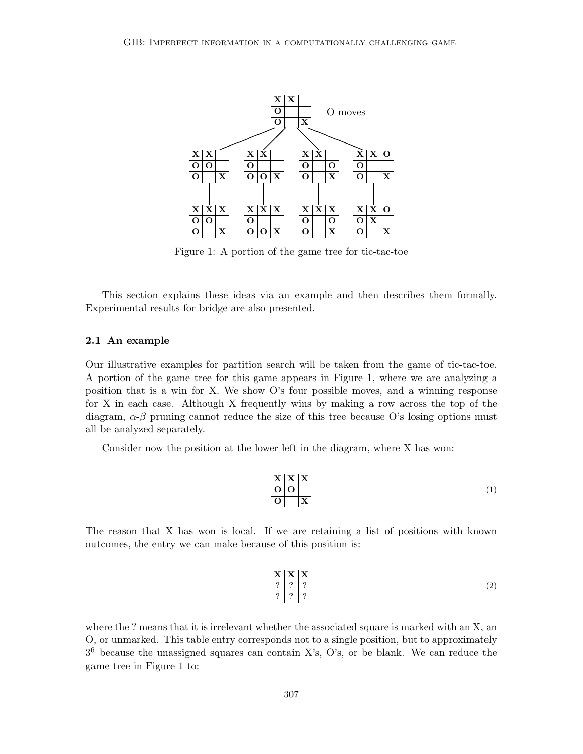

Figure 1: A portion of the game tree for tic-tac-toe

This section explains these ideas via an example and then describes them formally. Experimental results for bridge are also presented.

### 2.1 An example

Our illustrative examples for partition search will be taken from the game of tic-tac-toe. A portion of the game tree for this game appears in Figure 1, where we are analyzing a position that is a win for X. We show O's four possible moves, and a winning response for X in each case. Although X frequently wins by making a row across the top of the diagram,  $\alpha$ - $\beta$  pruning cannot reduce the size of this tree because O's losing options must all be analyzed separately.

Consider now the position at the lower left in the diagram, where X has won:

$$
\begin{array}{c|c}\n\mathbf{X} & \mathbf{X} & \mathbf{X} \\
\hline\n\mathbf{O} & \mathbf{O} & \mathbf{X}\n\end{array} (1)
$$

The reason that X has won is local. If we are retaining a list of positions with known outcomes, the entry we can make because of this position is:

$$
\begin{array}{c|c}\n\mathbf{X} & \mathbf{X} & \mathbf{X} \\
\hline\n? & ? & ?\n\end{array}\n\tag{2}
$$

where the ? means that it is irrelevant whether the associated square is marked with an X, an O, or unmarked. This table entry corresponds not to a single position, but to approximately  $3<sup>6</sup>$  because the unassigned squares can contain X's, O's, or be blank. We can reduce the game tree in Figure 1 to: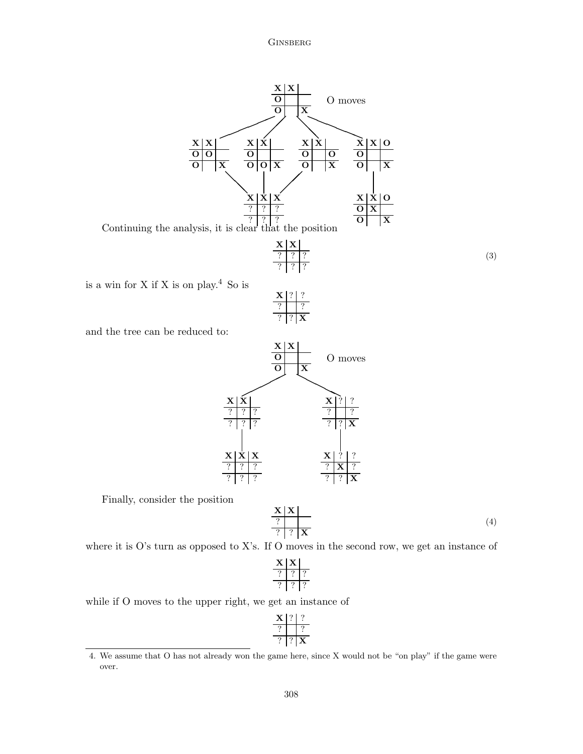

and the tree can be reduced to:



Finally, consider the position

$$
\begin{array}{c|c}\n\mathbf{X} & \mathbf{X} \\
\hline\n? & ? & \mathbf{X}\n\end{array} \n\tag{4}
$$

(3)

where it is O's turn as opposed to X's. If O moves in the second row, we get an instance of

while if O moves to the upper right, we get an instance of

<sup>4.</sup> We assume that O has not already won the game here, since X would not be "on play" if the game were over.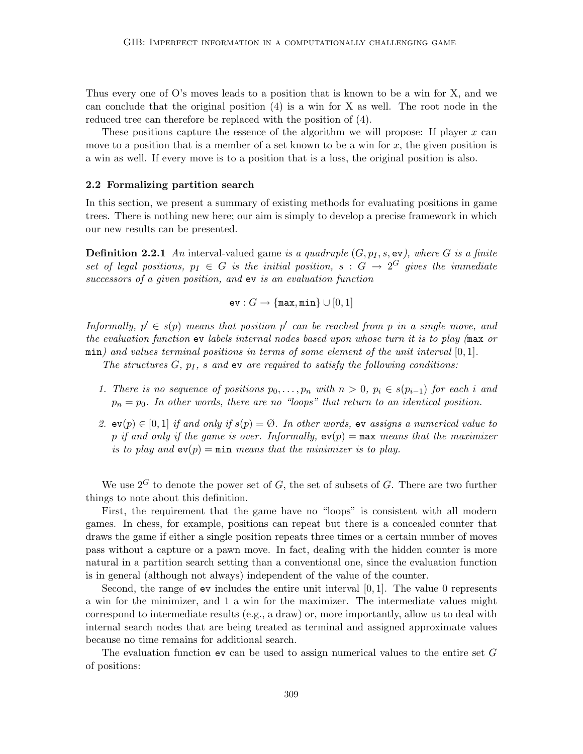Thus every one of O's moves leads to a position that is known to be a win for X, and we can conclude that the original position (4) is a win for X as well. The root node in the reduced tree can therefore be replaced with the position of (4).

These positions capture the essence of the algorithm we will propose: If player  $x$  can move to a position that is a member of a set known to be a win for  $x$ , the given position is a win as well. If every move is to a position that is a loss, the original position is also.

#### 2.2 Formalizing partition search

In this section, we present a summary of existing methods for evaluating positions in game trees. There is nothing new here; our aim is simply to develop a precise framework in which our new results can be presented.

**Definition 2.2.1** An interval-valued game is a quadruple  $(G, p_I, s, \text{ev})$ , where G is a finite set of legal positions,  $p_I \in G$  is the initial position,  $s : G \to 2^G$  gives the immediate successors of a given position, and ev is an evaluation function

$$
\mathrm{ev}: G \to \{\texttt{max}, \texttt{min}\} \cup [0,1]
$$

Informally,  $p' \in s(p)$  means that position p' can be reached from p in a single move, and the evaluation function ev labels internal nodes based upon whose turn it is to play (max or min) and values terminal positions in terms of some element of the unit interval  $[0, 1]$ .

The structures  $G, p<sub>I</sub>$ , s and ev are required to satisfy the following conditions:

- 1. There is no sequence of positions  $p_0, \ldots, p_n$  with  $n > 0$ ,  $p_i \in s(p_{i-1})$  for each i and  $p_n = p_0$ . In other words, there are no "loops" that return to an identical position.
- 2.  $ev(p) \in [0,1]$  if and only if  $s(p) = \emptyset$ . In other words,  $ev$  assigns a numerical value to p if and only if the game is over. Informally,  $ev(p) = \max$  means that the maximizer is to play and  $ev(p) = min$  means that the minimizer is to play.

We use  $2^G$  to denote the power set of G, the set of subsets of G. There are two further things to note about this definition.

First, the requirement that the game have no "loops" is consistent with all modern games. In chess, for example, positions can repeat but there is a concealed counter that draws the game if either a single position repeats three times or a certain number of moves pass without a capture or a pawn move. In fact, dealing with the hidden counter is more natural in a partition search setting than a conventional one, since the evaluation function is in general (although not always) independent of the value of the counter.

Second, the range of  $ev$  includes the entire unit interval [0, 1]. The value 0 represents a win for the minimizer, and 1 a win for the maximizer. The intermediate values might correspond to intermediate results (e.g., a draw) or, more importantly, allow us to deal with internal search nodes that are being treated as terminal and assigned approximate values because no time remains for additional search.

The evaluation function ev can be used to assign numerical values to the entire set G of positions: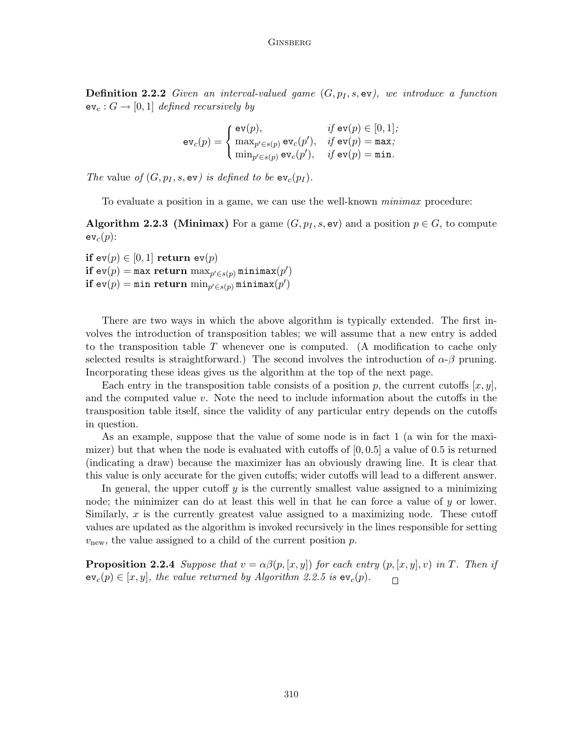**Definition 2.2.2** Given an interval-valued game  $(G, p_I, s, \texttt{ev})$ , we introduce a function  $ev_c : G \to [0,1]$  defined recursively by

$$
\texttt{ev}_c(p) = \begin{cases} \texttt{ev}(p), & \textit{if } \texttt{ev}(p) \in [0,1]; \\ \max_{p' \in s(p)} \texttt{ev}_c(p'), & \textit{if } \texttt{ev}(p) = \texttt{max}; \\ \min_{p' \in s(p)} \texttt{ev}_c(p'), & \textit{if } \texttt{ev}(p) = \texttt{min}. \end{cases}
$$

The value of  $(G, p_I, s, \texttt{ev})$  is defined to be  $\texttt{ev}_c(p_I)$ .

To evaluate a position in a game, we can use the well-known minimax procedure:

**Algorithm 2.2.3 (Minimax)** For a game  $(G, p_I, s, \text{ev})$  and a position  $p \in G$ , to compute  $ev_c(p)$ :

if  $ev(p) \in [0,1]$  return  $ev(p)$  $\mathbf{if}~\mathsf{ev}(p) = \mathtt{max}~\mathbf{return}~\max_{p' \in s(p)} \mathtt{minimax}(p')$  $\mathbf{if}\; \mathtt{ev}(p) = \mathtt{min}\; \mathbf{return}\; \min_{p' \in s(p)} \mathtt{minimax}(p')$ 

There are two ways in which the above algorithm is typically extended. The first involves the introduction of transposition tables; we will assume that a new entry is added to the transposition table  $T$  whenever one is computed. (A modification to cache only selected results is straightforward.) The second involves the introduction of  $\alpha$ - $\beta$  pruning. Incorporating these ideas gives us the algorithm at the top of the next page.

Each entry in the transposition table consists of a position p, the current cutoffs  $[x, y]$ , and the computed value v. Note the need to include information about the cutoffs in the transposition table itself, since the validity of any particular entry depends on the cutoffs in question.

As an example, suppose that the value of some node is in fact 1 (a win for the maximizer) but that when the node is evaluated with cutoffs of  $[0, 0.5]$  a value of 0.5 is returned (indicating a draw) because the maximizer has an obviously drawing line. It is clear that this value is only accurate for the given cutoffs; wider cutoffs will lead to a different answer.

In general, the upper cutoff  $y$  is the currently smallest value assigned to a minimizing node; the minimizer can do at least this well in that he can force a value of  $y$  or lower. Similarly, x is the currently greatest value assigned to a maximizing node. These cutoff values are updated as the algorithm is invoked recursively in the lines responsible for setting  $v<sub>new</sub>$ , the value assigned to a child of the current position p.

**Proposition 2.2.4** Suppose that  $v = \alpha\beta(p, [x, y])$  for each entry  $(p, [x, y], v)$  in T. Then if  $ev_c(p) \in [x, y]$ , the value returned by Algorithm 2.2.5 is  $ev_c(p)$ .  $\Box$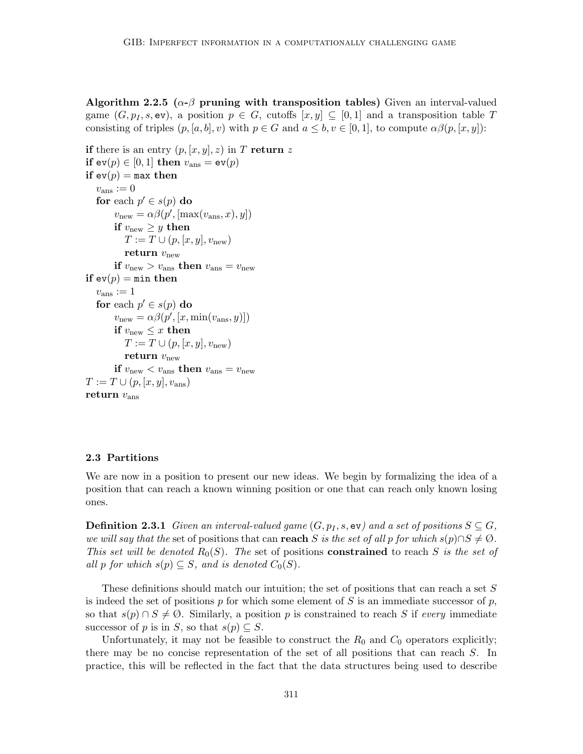Algorithm 2.2.5 ( $\alpha$ - $\beta$  pruning with transposition tables) Given an interval-valued game  $(G, p_I, s, \text{ev})$ , a position  $p \in G$ , cutoffs  $[x, y] \subseteq [0, 1]$  and a transposition table T consisting of triples  $(p, [a, b], v)$  with  $p \in G$  and  $a \leq b, v \in [0, 1],$  to compute  $\alpha\beta(p, [x, y])$ :

```
if there is an entry (p, [x, y], z) in T return z
if ev(p) \in [0, 1] then v_{\text{ans}} = ev(p)if ev(p) = max then
   v_{\text{ans}} := 0for each p' \in s(p) do
          v_{\text{new}} = \alpha \beta(p', [\max(v_{\text{ans}}, x), y])if v_{\text{new}} \geq y then
             T := T \cup (p, [x, y], v_{\text{new}})return v_{\text{new}}if v_{\text{new}} > v_{\text{ans}} then v_{\text{ans}} = v_{\text{new}}if ev(p) = min then
   v_{\text{ans}} := 1for each p' \in s(p) do
          v_{\text{new}} = \alpha \beta(p', [x, \min(v_{\text{ans}}, y)])if v_{\text{new}} \leq x then
             T := T \cup (p, [x, y], v_{\text{new}})return v_{\text{new}}if v_{\text{new}} < v_{\text{ans}} then v_{\text{ans}} = v_{\text{new}}T := T \cup (p, [x, y], v_{\text{ans}})return v_{\text{ans}}
```
### 2.3 Partitions

We are now in a position to present our new ideas. We begin by formalizing the idea of a position that can reach a known winning position or one that can reach only known losing ones.

**Definition 2.3.1** Given an interval-valued game  $(G, p_I, s, \texttt{ev})$  and a set of positions  $S \subseteq G$ , we will say that the set of positions that can reach S is the set of all p for which  $s(p) \cap S \neq \emptyset$ . This set will be denoted  $R_0(S)$ . The set of positions **constrained** to reach S is the set of all p for which  $s(p) \subseteq S$ , and is denoted  $C_0(S)$ .

These definitions should match our intuition; the set of positions that can reach a set S is indeed the set of positions p for which some element of S is an immediate successor of p, so that  $s(p) \cap S \neq \emptyset$ . Similarly, a position p is constrained to reach S if every immediate successor of p is in S, so that  $s(p) \subseteq S$ .

Unfortunately, it may not be feasible to construct the  $R_0$  and  $C_0$  operators explicitly; there may be no concise representation of the set of all positions that can reach S. In practice, this will be reflected in the fact that the data structures being used to describe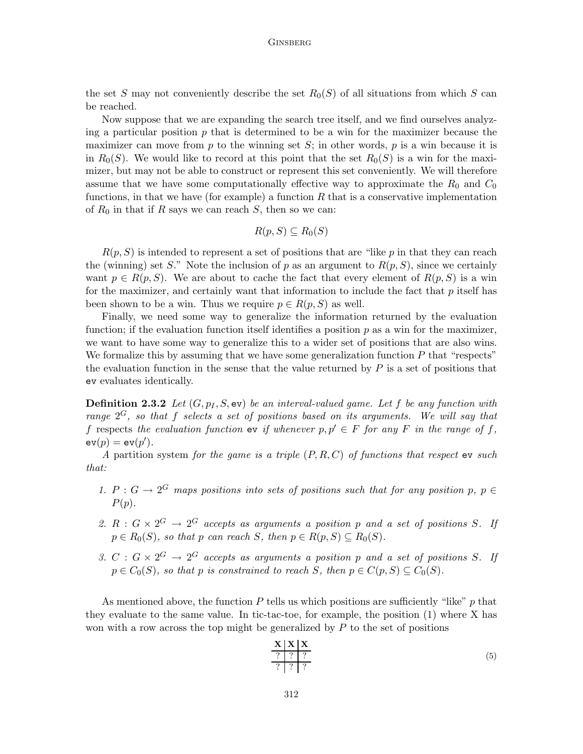the set S may not conveniently describe the set  $R_0(S)$  of all situations from which S can be reached.

Now suppose that we are expanding the search tree itself, and we find ourselves analyzing a particular position  $p$  that is determined to be a win for the maximizer because the maximizer can move from p to the winning set  $S$ ; in other words, p is a win because it is in  $R_0(S)$ . We would like to record at this point that the set  $R_0(S)$  is a win for the maximizer, but may not be able to construct or represent this set conveniently. We will therefore assume that we have some computationally effective way to approximate the  $R_0$  and  $C_0$ functions, in that we have (for example) a function  $R$  that is a conservative implementation of  $R_0$  in that if R says we can reach S, then so we can:

$$
R(p, S) \subseteq R_0(S)
$$

 $R(p, S)$  is intended to represent a set of positions that are "like p in that they can reach the (winning) set S." Note the inclusion of p as an argument to  $R(p, S)$ , since we certainly want  $p \in R(p, S)$ . We are about to cache the fact that every element of  $R(p, S)$  is a win for the maximizer, and certainly want that information to include the fact that  $p$  itself has been shown to be a win. Thus we require  $p \in R(p, S)$  as well.

Finally, we need some way to generalize the information returned by the evaluation function; if the evaluation function itself identifies a position  $p$  as a win for the maximizer, we want to have some way to generalize this to a wider set of positions that are also wins. We formalize this by assuming that we have some generalization function  $P$  that "respects" the evaluation function in the sense that the value returned by  $P$  is a set of positions that ev evaluates identically.

**Definition 2.3.2** Let  $(G, p_I, S, \text{ev})$  be an interval-valued game. Let f be any function with range  $2^G$ , so that f selects a set of positions based on its arguments. We will say that f respects the evaluation function ev if whenever  $p, p' \in F$  for any F in the range of f,  $ev(p) = ev(p').$ 

A partition system for the game is a triple  $(P, R, C)$  of functions that respect ev such that:

- 1. P :  $G \to 2^G$  maps positions into sets of positions such that for any position p,  $p \in$  $P(p)$ .
- 2.  $R: G \times 2^G \rightarrow 2^G$  accepts as arguments a position p and a set of positions S. If  $p \in R_0(S)$ , so that p can reach S, then  $p \in R(p, S) \subseteq R_0(S)$ .
- 3. C :  $G \times 2^G \rightarrow 2^G$  accepts as arguments a position p and a set of positions S. If  $p \in C_0(S)$ , so that p is constrained to reach S, then  $p \in C(p, S) \subseteq C_0(S)$ .

As mentioned above, the function  $P$  tells us which positions are sufficiently "like"  $p$  that they evaluate to the same value. In tic-tac-toe, for example, the position (1) where X has won with a row across the top might be generalized by  $P$  to the set of positions

$$
\frac{\mathbf{X} \mid \mathbf{X} \mid \mathbf{X}}{? \quad ? \quad ?} \tag{5}
$$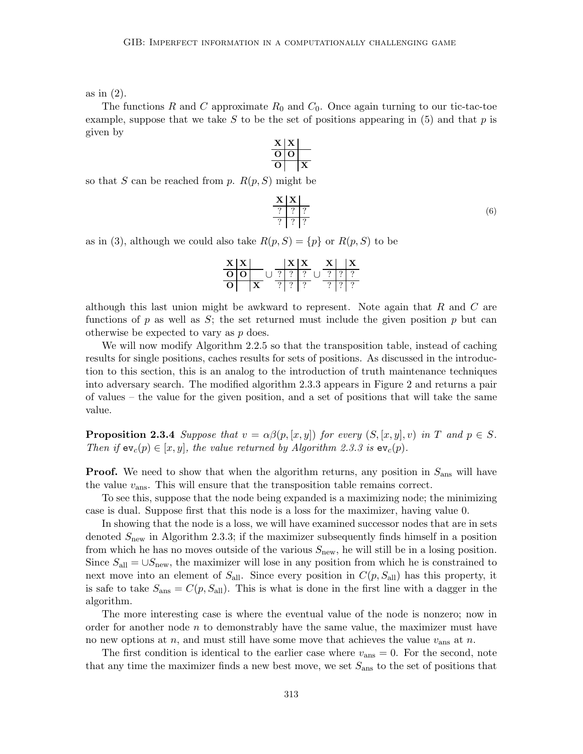as in (2).

The functions R and C approximate  $R_0$  and  $C_0$ . Once again turning to our tic-tac-toe example, suppose that we take S to be the set of positions appearing in  $(5)$  and that p is given by

> $\mathbf{X} \mid \mathbf{X}$ O O  $O \mid X$

so that *S* can be reached from *p*. 
$$
R(p, S)
$$
 might be

$$
\begin{array}{c|c}\n\mathbf{X} & \mathbf{X} \\
\hline\n? & ? & ? \\
\hline\n? & ? & ?\n\end{array}\n\tag{6}
$$

as in (3), although we could also take  $R(p, S) = \{p\}$  or  $R(p, S)$  to be

$$
\begin{array}{c|c|c|c|c} \n \textbf{X} & \textbf{X} & \textbf{X} & \textbf{X} & \textbf{X} \\ \n \hline\n \textbf{O} & \textbf{O} & \textbf{O} & \textbf{O} & \textbf{O} & \textbf{O} \\ \n \hline\n \textbf{O} & \textbf{X} & \textbf{O} & \textbf{O} & \textbf{O} & \textbf{O} \\ \n \textbf{X} & \textbf{O} & \textbf{O} & \textbf{O} & \textbf{O} & \textbf{O} & \textbf{O} \\ \n \end{array}
$$

although this last union might be awkward to represent. Note again that  $R$  and  $C$  are functions of p as well as S; the set returned must include the given position p but can otherwise be expected to vary as p does.

We will now modify Algorithm 2.2.5 so that the transposition table, instead of caching results for single positions, caches results for sets of positions. As discussed in the introduction to this section, this is an analog to the introduction of truth maintenance techniques into adversary search. The modified algorithm 2.3.3 appears in Figure 2 and returns a pair of values – the value for the given position, and a set of positions that will take the same value.

**Proposition 2.3.4** Suppose that  $v = \alpha\beta(p, [x, y])$  for every  $(S, [x, y], v)$  in T and  $p \in S$ . Then if  $ev_c(p) \in [x, y]$ , the value returned by Algorithm 2.3.3 is  $ev_c(p)$ .

**Proof.** We need to show that when the algorithm returns, any position in  $S_{\text{ans}}$  will have the value  $v_{\text{ans}}$ . This will ensure that the transposition table remains correct.

To see this, suppose that the node being expanded is a maximizing node; the minimizing case is dual. Suppose first that this node is a loss for the maximizer, having value 0.

In showing that the node is a loss, we will have examined successor nodes that are in sets denoted  $S<sub>new</sub>$  in Algorithm 2.3.3; if the maximizer subsequently finds himself in a position from which he has no moves outside of the various  $S_{\text{new}}$ , he will still be in a losing position. Since  $S_{all} = \bigcup S_{new}$ , the maximizer will lose in any position from which he is constrained to next move into an element of  $S_{\text{all}}$ . Since every position in  $C(p, S_{\text{all}})$  has this property, it is safe to take  $S_{\text{ans}} = C(p, S_{\text{all}})$ . This is what is done in the first line with a dagger in the algorithm.

The more interesting case is where the eventual value of the node is nonzero; now in order for another node  $n$  to demonstrably have the same value, the maximizer must have no new options at n, and must still have some move that achieves the value  $v_{\text{ans}}$  at n.

The first condition is identical to the earlier case where  $v_{\text{ans}} = 0$ . For the second, note that any time the maximizer finds a new best move, we set  $S_{\text{ans}}$  to the set of positions that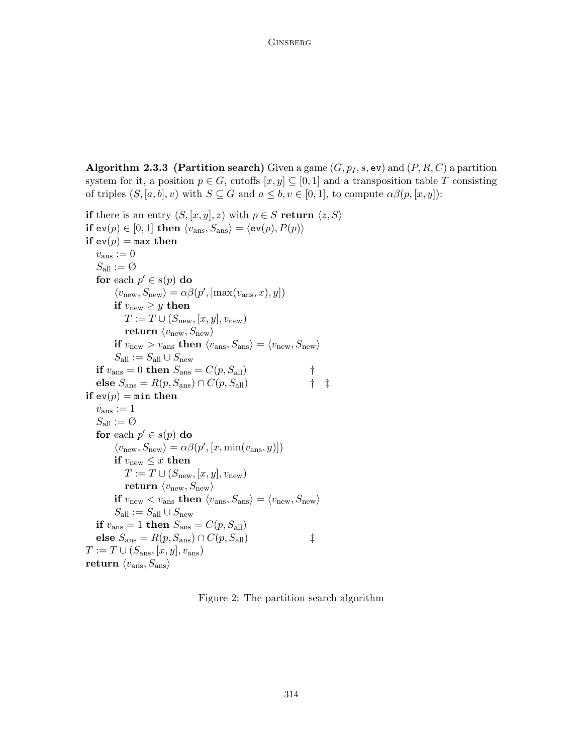**Algorithm 2.3.3 (Partition search)** Given a game  $(G, p_I, s, \text{ev})$  and  $(P, R, C)$  a partition system for it, a position  $p \in G$ , cutoffs  $[x, y] \subseteq [0, 1]$  and a transposition table T consisting of triples  $(S, [a, b], v)$  with  $S \subseteq G$  and  $a \leq b, v \in [0, 1]$ , to compute  $\alpha\beta(p, [x, y])$ :

```
if there is an entry (S, [x, y], z) with p \in S return \langle z, S \rangleif ev(p) \in [0, 1] then \langle v_{\text{ans}}, S_{\text{ans}} \rangle = \langle ev(p), P(p) \rangleif ev(p) = max then
    v_{\text{ans}} := 0S_{\text{all}} := \emptysetfor each p' \in s(p) do
             \langle v_{\text{new}}, S_{\text{new}} \rangle = \alpha \beta(p', [\text{max}(v_{\text{ans}}, x), y])if v_{\text{new}} \geq y then
                T := T \cup (S_{\text{new}}, [x, y], v_{\text{new}})return \langle v_{\text{new}}, S_{\text{new}} \rangleif v_{\text{new}} > v_{\text{ans}} then \langle v_{\text{ans}}, S_{\text{ans}} \rangle = \langle v_{\text{new}}, S_{\text{new}} \rangleS_{\text{all}} := S_{\text{all}} \cup S_{\text{new}}if v_{\text{ans}} = 0 then S_{\text{ans}} = C(p, S_{\text{all}}) †
    else S_{\text{ans}} = R(p, S_{\text{ans}}) \cap C(p, S_{\text{all}}) † \ddaggerif ev(p) = min then
    v_{\text{ans}} := 1S_{\text{all}}:=\text{\O}for each p' \in s(p) do
             \langle v_{\text{new}}, S_{\text{new}} \rangle = \alpha \beta(p', [x, \min(v_{\text{ans}}, y)])if v_{\text{new}} \leq x then
                T := T \cup (S_{\text{new}}, [x, y], v_{\text{new}})return \langle v_{\text{new}}, S_{\text{new}} \rangleif v_{\text{new}} < v_{\text{ans}} then \langle v_{\text{ans}}, S_{\text{ans}} \rangle = \langle v_{\text{new}}, S_{\text{new}} \rangleS_{\text{all}} := S_{\text{all}} \cup S_{\text{new}}if v_{\text{ans}} = 1 then S_{\text{ans}} = C(p, S_{\text{all}})else S_{\text{ans}} = R(p, S_{\text{ans}}) \cap C(p, S_{\text{all}}) ‡
T := T \cup (S_{\text{ans}}, [x, y], v_{\text{ans}})return \langle v_{\rm ans}, S_{\rm ans} \rangle
```
Figure 2: The partition search algorithm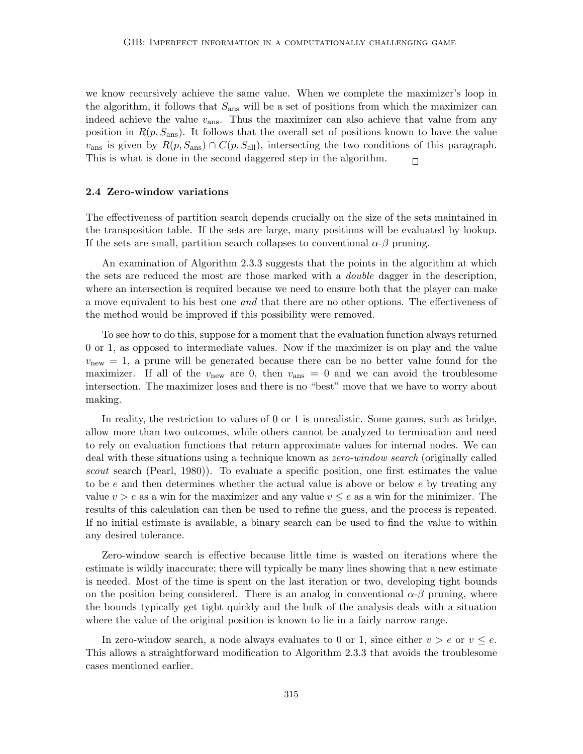we know recursively achieve the same value. When we complete the maximizer's loop in the algorithm, it follows that  $S_{\text{ans}}$  will be a set of positions from which the maximizer can indeed achieve the value  $v_{\text{ans}}$ . Thus the maximizer can also achieve that value from any position in  $R(p, S_{\text{ans}})$ . It follows that the overall set of positions known to have the value  $v_{\text{ans}}$  is given by  $R(p, S_{\text{ans}}) \cap C(p, S_{\text{all}})$ , intersecting the two conditions of this paragraph. This is what is done in the second daggered step in the algorithm.  $\Box$ 

#### 2.4 Zero-window variations

The effectiveness of partition search depends crucially on the size of the sets maintained in the transposition table. If the sets are large, many positions will be evaluated by lookup. If the sets are small, partition search collapses to conventional  $\alpha$ - $\beta$  pruning.

An examination of Algorithm 2.3.3 suggests that the points in the algorithm at which the sets are reduced the most are those marked with a *double* dagger in the description, where an intersection is required because we need to ensure both that the player can make a move equivalent to his best one and that there are no other options. The effectiveness of the method would be improved if this possibility were removed.

To see how to do this, suppose for a moment that the evaluation function always returned 0 or 1, as opposed to intermediate values. Now if the maximizer is on play and the value  $v_{\text{new}} = 1$ , a prune will be generated because there can be no better value found for the maximizer. If all of the  $v_{\text{new}}$  are 0, then  $v_{\text{ans}} = 0$  and we can avoid the troublesome intersection. The maximizer loses and there is no "best" move that we have to worry about making.

In reality, the restriction to values of 0 or 1 is unrealistic. Some games, such as bridge, allow more than two outcomes, while others cannot be analyzed to termination and need to rely on evaluation functions that return approximate values for internal nodes. We can deal with these situations using a technique known as *zero-window search* (originally called scout search (Pearl, 1980)). To evaluate a specific position, one first estimates the value to be e and then determines whether the actual value is above or below  $e$  by treating any value  $v > e$  as a win for the maximizer and any value  $v \leq e$  as a win for the minimizer. The results of this calculation can then be used to refine the guess, and the process is repeated. If no initial estimate is available, a binary search can be used to find the value to within any desired tolerance.

Zero-window search is effective because little time is wasted on iterations where the estimate is wildly inaccurate; there will typically be many lines showing that a new estimate is needed. Most of the time is spent on the last iteration or two, developing tight bounds on the position being considered. There is an analog in conventional  $\alpha$ - $\beta$  pruning, where the bounds typically get tight quickly and the bulk of the analysis deals with a situation where the value of the original position is known to lie in a fairly narrow range.

In zero-window search, a node always evaluates to 0 or 1, since either  $v > e$  or  $v \leq e$ . This allows a straightforward modification to Algorithm 2.3.3 that avoids the troublesome cases mentioned earlier.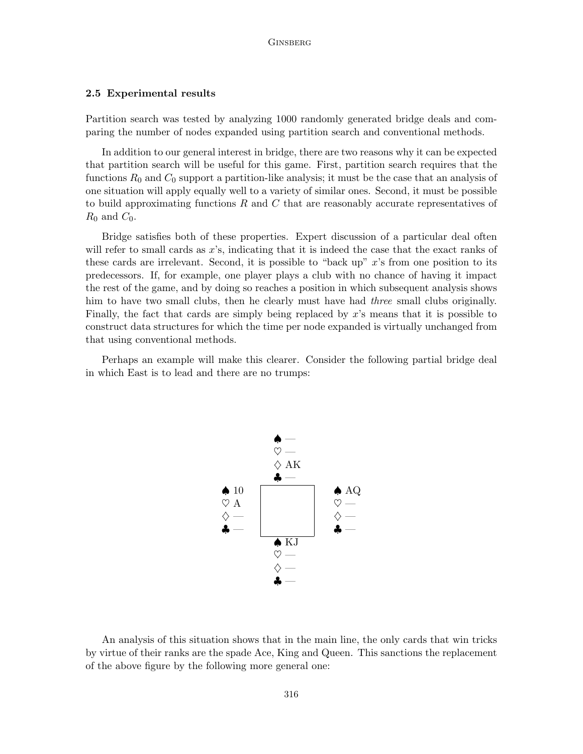#### 2.5 Experimental results

Partition search was tested by analyzing 1000 randomly generated bridge deals and comparing the number of nodes expanded using partition search and conventional methods.

In addition to our general interest in bridge, there are two reasons why it can be expected that partition search will be useful for this game. First, partition search requires that the functions  $R_0$  and  $C_0$  support a partition-like analysis; it must be the case that an analysis of one situation will apply equally well to a variety of similar ones. Second, it must be possible to build approximating functions  $R$  and  $C$  that are reasonably accurate representatives of  $R_0$  and  $C_0$ .

Bridge satisfies both of these properties. Expert discussion of a particular deal often will refer to small cards as x's, indicating that it is indeed the case that the exact ranks of these cards are irrelevant. Second, it is possible to "back up"  $x$ 's from one position to its predecessors. If, for example, one player plays a club with no chance of having it impact the rest of the game, and by doing so reaches a position in which subsequent analysis shows him to have two small clubs, then he clearly must have had *three* small clubs originally. Finally, the fact that cards are simply being replaced by  $x$ 's means that it is possible to construct data structures for which the time per node expanded is virtually unchanged from that using conventional methods.

Perhaps an example will make this clearer. Consider the following partial bridge deal in which East is to lead and there are no trumps:



An analysis of this situation shows that in the main line, the only cards that win tricks by virtue of their ranks are the spade Ace, King and Queen. This sanctions the replacement of the above figure by the following more general one: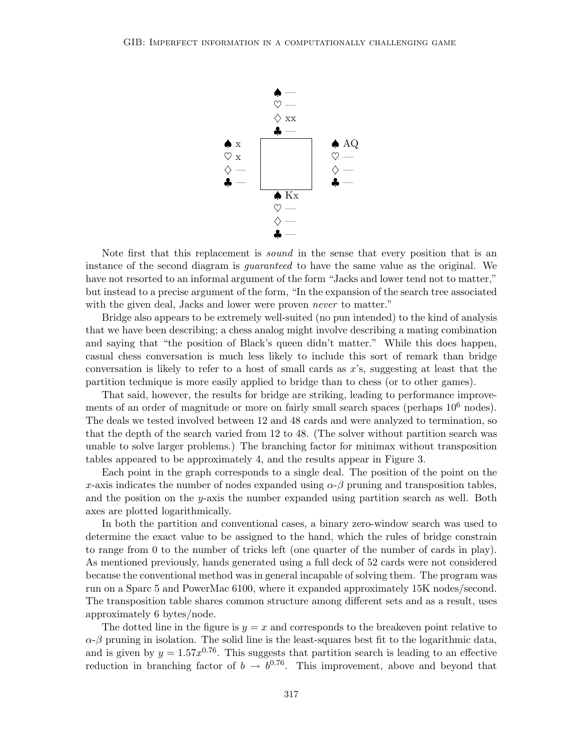

Note first that this replacement is sound in the sense that every position that is an instance of the second diagram is *guaranteed* to have the same value as the original. We have not resorted to an informal argument of the form "Jacks and lower tend not to matter," but instead to a precise argument of the form, "In the expansion of the search tree associated with the given deal, Jacks and lower were proven *never* to matter."

Bridge also appears to be extremely well-suited (no pun intended) to the kind of analysis that we have been describing; a chess analog might involve describing a mating combination and saying that "the position of Black's queen didn't matter." While this does happen, casual chess conversation is much less likely to include this sort of remark than bridge conversation is likely to refer to a host of small cards as  $x$ 's, suggesting at least that the partition technique is more easily applied to bridge than to chess (or to other games).

That said, however, the results for bridge are striking, leading to performance improvements of an order of magnitude or more on fairly small search spaces (perhaps  $10^6$  nodes). The deals we tested involved between 12 and 48 cards and were analyzed to termination, so that the depth of the search varied from 12 to 48. (The solver without partition search was unable to solve larger problems.) The branching factor for minimax without transposition tables appeared to be approximately 4, and the results appear in Figure 3.

Each point in the graph corresponds to a single deal. The position of the point on the x-axis indicates the number of nodes expanded using  $\alpha-\beta$  pruning and transposition tables, and the position on the y-axis the number expanded using partition search as well. Both axes are plotted logarithmically.

In both the partition and conventional cases, a binary zero-window search was used to determine the exact value to be assigned to the hand, which the rules of bridge constrain to range from 0 to the number of tricks left (one quarter of the number of cards in play). As mentioned previously, hands generated using a full deck of 52 cards were not considered because the conventional method was in general incapable of solving them. The program was run on a Sparc 5 and PowerMac 6100, where it expanded approximately 15K nodes/second. The transposition table shares common structure among different sets and as a result, uses approximately 6 bytes/node.

The dotted line in the figure is  $y = x$  and corresponds to the breakeven point relative to  $\alpha$ - $\beta$  pruning in isolation. The solid line is the least-squares best fit to the logarithmic data, and is given by  $y = 1.57x^{0.76}$ . This suggests that partition search is leading to an effective reduction in branching factor of  $b \to b^{0.76}$ . This improvement, above and beyond that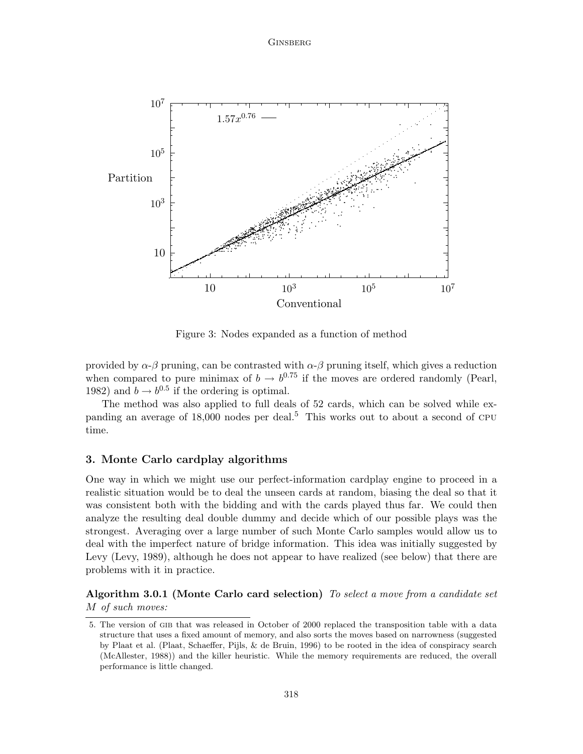

Figure 3: Nodes expanded as a function of method

provided by  $\alpha-\beta$  pruning, can be contrasted with  $\alpha-\beta$  pruning itself, which gives a reduction when compared to pure minimax of  $b \to b^{0.75}$  if the moves are ordered randomly (Pearl, 1982) and  $b \rightarrow b^{0.5}$  if the ordering is optimal.

The method was also applied to full deals of 52 cards, which can be solved while expanding an average of  $18,000$  nodes per deal.<sup>5</sup> This works out to about a second of CPU time.

# 3. Monte Carlo cardplay algorithms

One way in which we might use our perfect-information cardplay engine to proceed in a realistic situation would be to deal the unseen cards at random, biasing the deal so that it was consistent both with the bidding and with the cards played thus far. We could then analyze the resulting deal double dummy and decide which of our possible plays was the strongest. Averaging over a large number of such Monte Carlo samples would allow us to deal with the imperfect nature of bridge information. This idea was initially suggested by Levy (Levy, 1989), although he does not appear to have realized (see below) that there are problems with it in practice.

Algorithm 3.0.1 (Monte Carlo card selection) To select a move from a candidate set M of such moves:

<sup>5.</sup> The version of gib that was released in October of 2000 replaced the transposition table with a data structure that uses a fixed amount of memory, and also sorts the moves based on narrowness (suggested by Plaat et al. (Plaat, Schaeffer, Pijls, & de Bruin, 1996) to be rooted in the idea of conspiracy search (McAllester, 1988)) and the killer heuristic. While the memory requirements are reduced, the overall performance is little changed.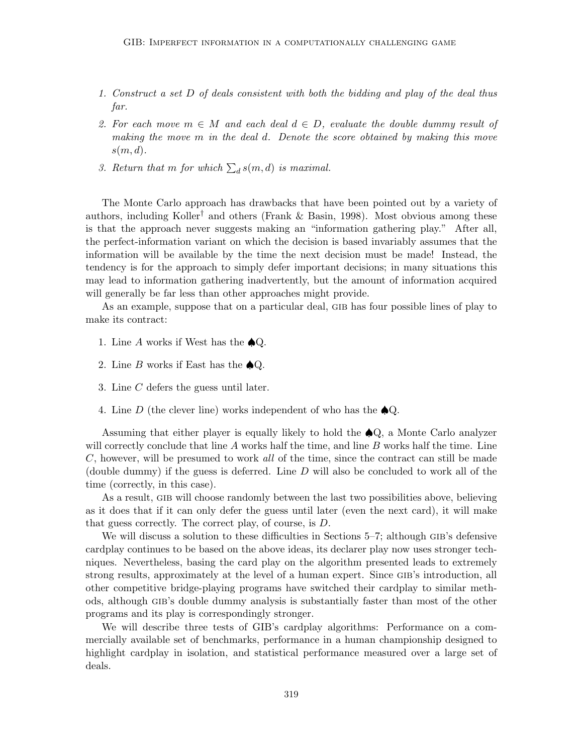- 1. Construct a set D of deals consistent with both the bidding and play of the deal thus far.
- 2. For each move  $m \in M$  and each deal  $d \in D$ , evaluate the double dummy result of making the move m in the deal d. Denote the score obtained by making this move  $s(m, d)$ .
- 3. Return that m for which  $\sum_{d} s(m, d)$  is maximal.

The Monte Carlo approach has drawbacks that have been pointed out by a variety of authors, including Koller<sup>†</sup> and others (Frank & Basin, 1998). Most obvious among these is that the approach never suggests making an "information gathering play." After all, the perfect-information variant on which the decision is based invariably assumes that the information will be available by the time the next decision must be made! Instead, the tendency is for the approach to simply defer important decisions; in many situations this may lead to information gathering inadvertently, but the amount of information acquired will generally be far less than other approaches might provide.

As an example, suppose that on a particular deal, GIB has four possible lines of play to make its contract:

- 1. Line A works if West has the  $\bigcirc$ Q.
- 2. Line B works if East has the  $\bigcirc$ Q.
- 3. Line C defers the guess until later.
- 4. Line D (the clever line) works independent of who has the  $\bigcirc$ Q.

Assuming that either player is equally likely to hold the  $\bigtriangleup Q$ , a Monte Carlo analyzer will correctly conclude that line  $A$  works half the time, and line  $B$  works half the time. Line C, however, will be presumed to work all of the time, since the contract can still be made (double dummy) if the guess is deferred. Line  $D$  will also be concluded to work all of the time (correctly, in this case).

As a result, GIB will choose randomly between the last two possibilities above, believing as it does that if it can only defer the guess until later (even the next card), it will make that guess correctly. The correct play, of course, is D.

We will discuss a solution to these difficulties in Sections 5–7; although GIB's defensive cardplay continues to be based on the above ideas, its declarer play now uses stronger techniques. Nevertheless, basing the card play on the algorithm presented leads to extremely strong results, approximately at the level of a human expert. Since GIB's introduction, all other competitive bridge-playing programs have switched their cardplay to similar methods, although gib's double dummy analysis is substantially faster than most of the other programs and its play is correspondingly stronger.

We will describe three tests of GIB's cardplay algorithms: Performance on a commercially available set of benchmarks, performance in a human championship designed to highlight cardplay in isolation, and statistical performance measured over a large set of deals.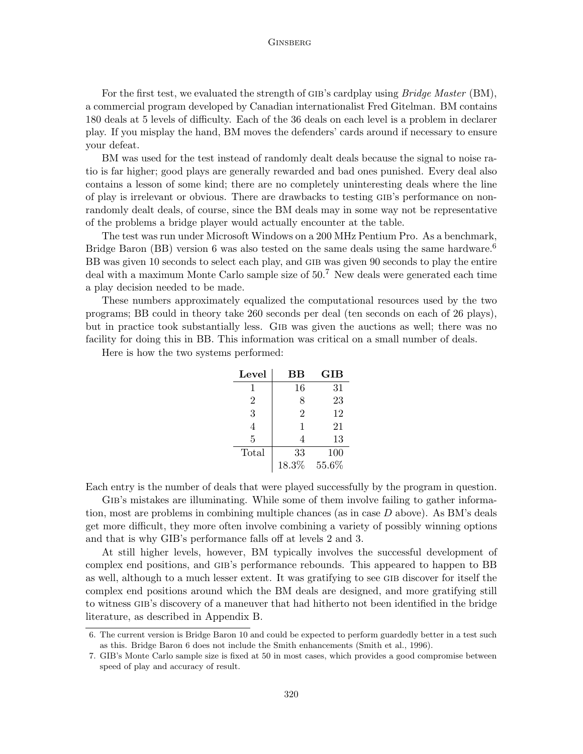For the first test, we evaluated the strength of GIB's cardplay using *Bridge Master* (BM), a commercial program developed by Canadian internationalist Fred Gitelman. BM contains 180 deals at 5 levels of difficulty. Each of the 36 deals on each level is a problem in declarer play. If you misplay the hand, BM moves the defenders' cards around if necessary to ensure your defeat.

BM was used for the test instead of randomly dealt deals because the signal to noise ratio is far higher; good plays are generally rewarded and bad ones punished. Every deal also contains a lesson of some kind; there are no completely uninteresting deals where the line of play is irrelevant or obvious. There are drawbacks to testing gib's performance on nonrandomly dealt deals, of course, since the BM deals may in some way not be representative of the problems a bridge player would actually encounter at the table.

The test was run under Microsoft Windows on a 200 MHz Pentium Pro. As a benchmark, Bridge Baron (BB) version 6 was also tested on the same deals using the same hardware.<sup>6</sup> BB was given 10 seconds to select each play, and GIB was given 90 seconds to play the entire deal with a maximum Monte Carlo sample size of 50.<sup>7</sup> New deals were generated each time a play decision needed to be made.

These numbers approximately equalized the computational resources used by the two programs; BB could in theory take 260 seconds per deal (ten seconds on each of 26 plays), but in practice took substantially less. Gib was given the auctions as well; there was no facility for doing this in BB. This information was critical on a small number of deals.

Here is how the two systems performed:

| Level          | $_{\rm BB}$    | GIB   |
|----------------|----------------|-------|
| 1              | 16             | 31    |
| $\overline{2}$ | 8              | 23    |
| 3              | $\overline{2}$ | 12    |
| 4              | 1              | 21    |
| 5              | 4              | 13    |
| Total          | 33             | 100   |
|                | 18.3%          | 55.6% |

Each entry is the number of deals that were played successfully by the program in question.

GIB's mistakes are illuminating. While some of them involve failing to gather information, most are problems in combining multiple chances (as in case D above). As BM's deals get more difficult, they more often involve combining a variety of possibly winning options and that is why GIB's performance falls off at levels 2 and 3.

At still higher levels, however, BM typically involves the successful development of complex end positions, and gib's performance rebounds. This appeared to happen to BB as well, although to a much lesser extent. It was gratifying to see GIB discover for itself the complex end positions around which the BM deals are designed, and more gratifying still to witness gib's discovery of a maneuver that had hitherto not been identified in the bridge literature, as described in Appendix B.

<sup>6.</sup> The current version is Bridge Baron 10 and could be expected to perform guardedly better in a test such as this. Bridge Baron 6 does not include the Smith enhancements (Smith et al., 1996).

<sup>7.</sup> GIB's Monte Carlo sample size is fixed at 50 in most cases, which provides a good compromise between speed of play and accuracy of result.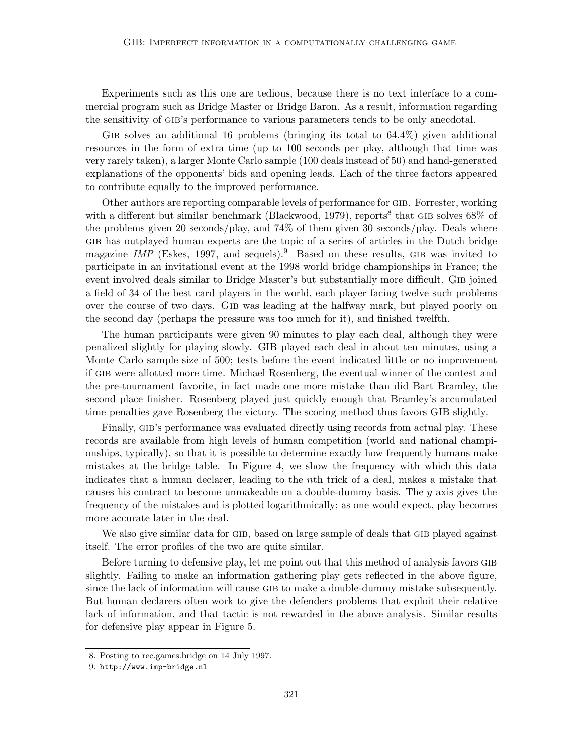Experiments such as this one are tedious, because there is no text interface to a commercial program such as Bridge Master or Bridge Baron. As a result, information regarding the sensitivity of gib's performance to various parameters tends to be only anecdotal.

GIB solves an additional 16 problems (bringing its total to  $64.4\%$ ) given additional resources in the form of extra time (up to 100 seconds per play, although that time was very rarely taken), a larger Monte Carlo sample (100 deals instead of 50) and hand-generated explanations of the opponents' bids and opening leads. Each of the three factors appeared to contribute equally to the improved performance.

Other authors are reporting comparable levels of performance for gib. Forrester, working with a different but similar benchmark (Blackwood, 1979), reports<sup>8</sup> that GIB solves  $68\%$  of the problems given 20 seconds/play, and 74% of them given 30 seconds/play. Deals where gib has outplayed human experts are the topic of a series of articles in the Dutch bridge magazine IMP (Eskes, 1997, and sequels).<sup>9</sup> Based on these results, GIB was invited to participate in an invitational event at the 1998 world bridge championships in France; the event involved deals similar to Bridge Master's but substantially more difficult. Gib joined a field of 34 of the best card players in the world, each player facing twelve such problems over the course of two days. Gib was leading at the halfway mark, but played poorly on the second day (perhaps the pressure was too much for it), and finished twelfth.

The human participants were given 90 minutes to play each deal, although they were penalized slightly for playing slowly. GIB played each deal in about ten minutes, using a Monte Carlo sample size of 500; tests before the event indicated little or no improvement if gib were allotted more time. Michael Rosenberg, the eventual winner of the contest and the pre-tournament favorite, in fact made one more mistake than did Bart Bramley, the second place finisher. Rosenberg played just quickly enough that Bramley's accumulated time penalties gave Rosenberg the victory. The scoring method thus favors GIB slightly.

Finally, GIB's performance was evaluated directly using records from actual play. These records are available from high levels of human competition (world and national championships, typically), so that it is possible to determine exactly how frequently humans make mistakes at the bridge table. In Figure 4, we show the frequency with which this data indicates that a human declarer, leading to the nth trick of a deal, makes a mistake that causes his contract to become unmakeable on a double-dummy basis. The y axis gives the frequency of the mistakes and is plotted logarithmically; as one would expect, play becomes more accurate later in the deal.

We also give similar data for GIB, based on large sample of deals that GIB played against itself. The error profiles of the two are quite similar.

Before turning to defensive play, let me point out that this method of analysis favors GIB slightly. Failing to make an information gathering play gets reflected in the above figure, since the lack of information will cause gib to make a double-dummy mistake subsequently. But human declarers often work to give the defenders problems that exploit their relative lack of information, and that tactic is not rewarded in the above analysis. Similar results for defensive play appear in Figure 5.

<sup>8.</sup> Posting to rec.games.bridge on 14 July 1997.

<sup>9.</sup> http://www.imp-bridge.nl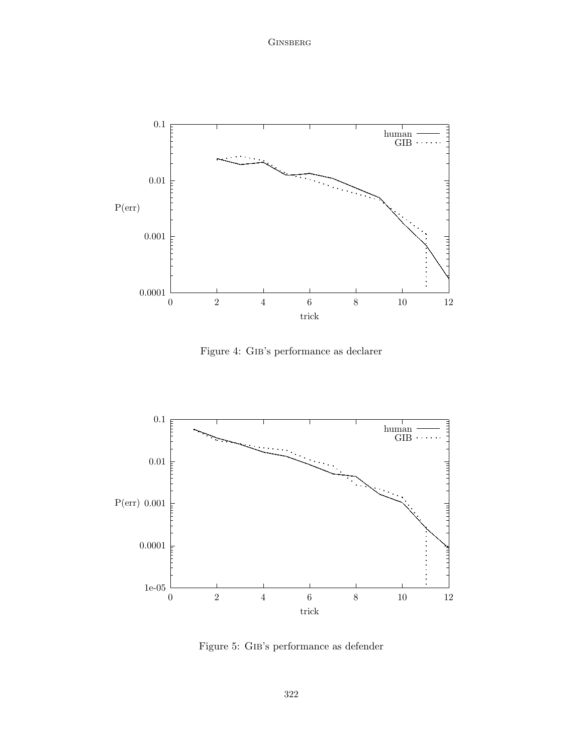

Figure 4: Gib's performance as declarer



Figure 5: Gib's performance as defender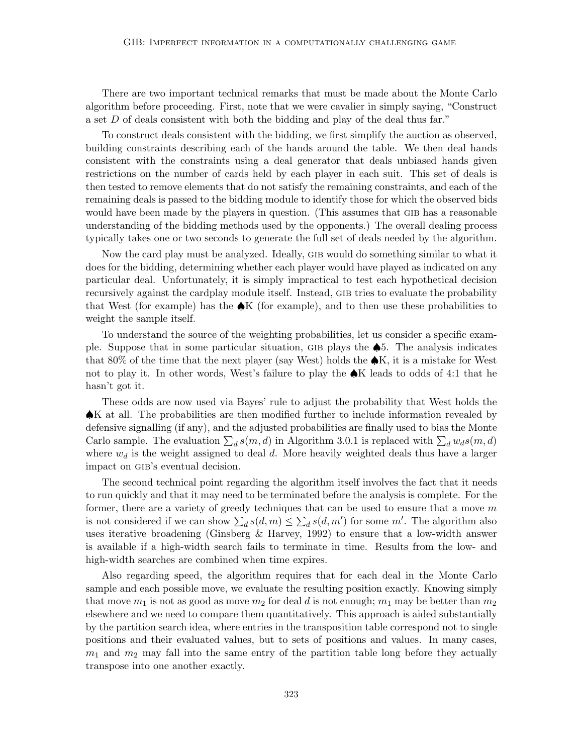There are two important technical remarks that must be made about the Monte Carlo algorithm before proceeding. First, note that we were cavalier in simply saying, "Construct a set D of deals consistent with both the bidding and play of the deal thus far."

To construct deals consistent with the bidding, we first simplify the auction as observed, building constraints describing each of the hands around the table. We then deal hands consistent with the constraints using a deal generator that deals unbiased hands given restrictions on the number of cards held by each player in each suit. This set of deals is then tested to remove elements that do not satisfy the remaining constraints, and each of the remaining deals is passed to the bidding module to identify those for which the observed bids would have been made by the players in question. (This assumes that GIB has a reasonable understanding of the bidding methods used by the opponents.) The overall dealing process typically takes one or two seconds to generate the full set of deals needed by the algorithm.

Now the card play must be analyzed. Ideally, gib would do something similar to what it does for the bidding, determining whether each player would have played as indicated on any particular deal. Unfortunately, it is simply impractical to test each hypothetical decision recursively against the cardplay module itself. Instead, GIB tries to evaluate the probability that West (for example) has the  $\bigtriangleup K$  (for example), and to then use these probabilities to weight the sample itself.

To understand the source of the weighting probabilities, let us consider a specific example. Suppose that in some particular situation, GIB plays the  $\clubsuit$ 5. The analysis indicates that 80% of the time that the next player (say West) holds the  $\clubsuit K$ , it is a mistake for West not to play it. In other words, West's failure to play the ♠K leads to odds of 4:1 that he hasn't got it.

These odds are now used via Bayes' rule to adjust the probability that West holds the ♠K at all. The probabilities are then modified further to include information revealed by defensive signalling (if any), and the adjusted probabilities are finally used to bias the Monte Carlo sample. The evaluation  $\sum_d s(m, d)$  in Algorithm 3.0.1 is replaced with  $\sum_d w_d s(m, d)$ where  $w_d$  is the weight assigned to deal d. More heavily weighted deals thus have a larger impact on gib's eventual decision.

The second technical point regarding the algorithm itself involves the fact that it needs to run quickly and that it may need to be terminated before the analysis is complete. For the former, there are a variety of greedy techniques that can be used to ensure that a move  $m$ is not considered if we can show  $\sum_{d} s(d, m) \leq \sum_{d} s(d, m')$  for some m'. The algorithm also uses iterative broadening (Ginsberg & Harvey, 1992) to ensure that a low-width answer is available if a high-width search fails to terminate in time. Results from the low- and high-width searches are combined when time expires.

Also regarding speed, the algorithm requires that for each deal in the Monte Carlo sample and each possible move, we evaluate the resulting position exactly. Knowing simply that move  $m_1$  is not as good as move  $m_2$  for deal d is not enough;  $m_1$  may be better than  $m_2$ elsewhere and we need to compare them quantitatively. This approach is aided substantially by the partition search idea, where entries in the transposition table correspond not to single positions and their evaluated values, but to sets of positions and values. In many cases,  $m_1$  and  $m_2$  may fall into the same entry of the partition table long before they actually transpose into one another exactly.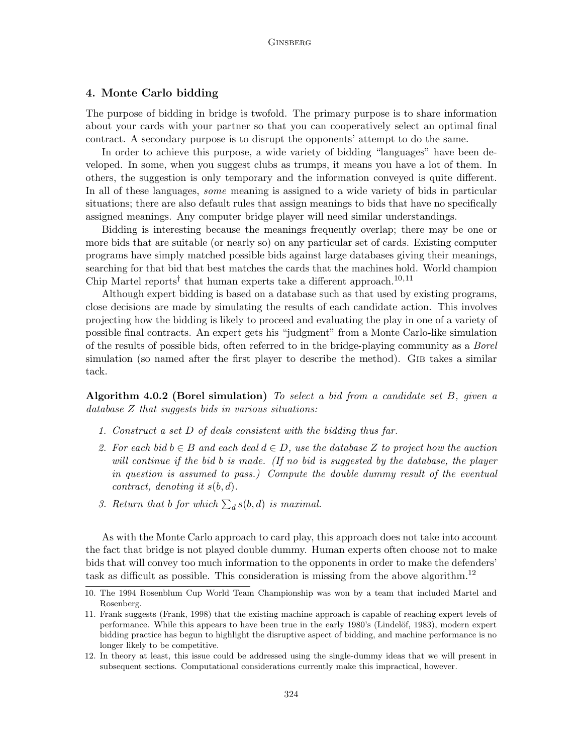# 4. Monte Carlo bidding

The purpose of bidding in bridge is twofold. The primary purpose is to share information about your cards with your partner so that you can cooperatively select an optimal final contract. A secondary purpose is to disrupt the opponents' attempt to do the same.

In order to achieve this purpose, a wide variety of bidding "languages" have been developed. In some, when you suggest clubs as trumps, it means you have a lot of them. In others, the suggestion is only temporary and the information conveyed is quite different. In all of these languages, *some* meaning is assigned to a wide variety of bids in particular situations; there are also default rules that assign meanings to bids that have no specifically assigned meanings. Any computer bridge player will need similar understandings.

Bidding is interesting because the meanings frequently overlap; there may be one or more bids that are suitable (or nearly so) on any particular set of cards. Existing computer programs have simply matched possible bids against large databases giving their meanings, searching for that bid that best matches the cards that the machines hold. World champion Chip Martel reports<sup>†</sup> that human experts take a different approach.<sup>10,11</sup>

Although expert bidding is based on a database such as that used by existing programs, close decisions are made by simulating the results of each candidate action. This involves projecting how the bidding is likely to proceed and evaluating the play in one of a variety of possible final contracts. An expert gets his "judgment" from a Monte Carlo-like simulation of the results of possible bids, often referred to in the bridge-playing community as a Borel simulation (so named after the first player to describe the method). GIB takes a similar tack.

Algorithm 4.0.2 (Borel simulation) To select a bid from a candidate set  $B$ , given a database Z that suggests bids in various situations:

- 1. Construct a set D of deals consistent with the bidding thus far.
- 2. For each bid  $b \in B$  and each deal  $d \in D$ , use the database Z to project how the auction will continue if the bid b is made. (If no bid is suggested by the database, the player in question is assumed to pass.) Compute the double dummy result of the eventual contract, denoting it  $s(b, d)$ .
- 3. Return that b for which  $\sum_{d} s(b, d)$  is maximal.

As with the Monte Carlo approach to card play, this approach does not take into account the fact that bridge is not played double dummy. Human experts often choose not to make bids that will convey too much information to the opponents in order to make the defenders' task as difficult as possible. This consideration is missing from the above algorithm.<sup>12</sup>

<sup>10.</sup> The 1994 Rosenblum Cup World Team Championship was won by a team that included Martel and Rosenberg.

<sup>11.</sup> Frank suggests (Frank, 1998) that the existing machine approach is capable of reaching expert levels of performance. While this appears to have been true in the early 1980's (Lindelöf, 1983), modern expert bidding practice has begun to highlight the disruptive aspect of bidding, and machine performance is no longer likely to be competitive.

<sup>12.</sup> In theory at least, this issue could be addressed using the single-dummy ideas that we will present in subsequent sections. Computational considerations currently make this impractical, however.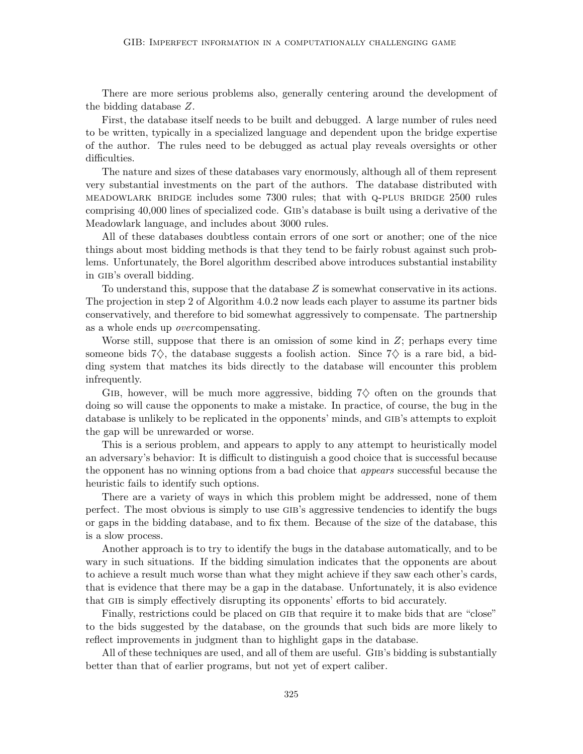There are more serious problems also, generally centering around the development of the bidding database Z.

First, the database itself needs to be built and debugged. A large number of rules need to be written, typically in a specialized language and dependent upon the bridge expertise of the author. The rules need to be debugged as actual play reveals oversights or other difficulties.

The nature and sizes of these databases vary enormously, although all of them represent very substantial investments on the part of the authors. The database distributed with meadowlark bridge includes some 7300 rules; that with q-plus bridge 2500 rules comprising 40,000 lines of specialized code. Gib's database is built using a derivative of the Meadowlark language, and includes about 3000 rules.

All of these databases doubtless contain errors of one sort or another; one of the nice things about most bidding methods is that they tend to be fairly robust against such problems. Unfortunately, the Borel algorithm described above introduces substantial instability in gib's overall bidding.

To understand this, suppose that the database Z is somewhat conservative in its actions. The projection in step 2 of Algorithm 4.0.2 now leads each player to assume its partner bids conservatively, and therefore to bid somewhat aggressively to compensate. The partnership as a whole ends up overcompensating.

Worse still, suppose that there is an omission of some kind in  $Z$ ; perhaps every time someone bids 7 $\diamondsuit$ , the database suggests a foolish action. Since 7 $\diamondsuit$  is a rare bid, a bidding system that matches its bids directly to the database will encounter this problem infrequently.

GIB, however, will be much more aggressive, bidding  $7\diamond$  often on the grounds that doing so will cause the opponents to make a mistake. In practice, of course, the bug in the database is unlikely to be replicated in the opponents' minds, and GIB's attempts to exploit the gap will be unrewarded or worse.

This is a serious problem, and appears to apply to any attempt to heuristically model an adversary's behavior: It is difficult to distinguish a good choice that is successful because the opponent has no winning options from a bad choice that appears successful because the heuristic fails to identify such options.

There are a variety of ways in which this problem might be addressed, none of them perfect. The most obvious is simply to use gib's aggressive tendencies to identify the bugs or gaps in the bidding database, and to fix them. Because of the size of the database, this is a slow process.

Another approach is to try to identify the bugs in the database automatically, and to be wary in such situations. If the bidding simulation indicates that the opponents are about to achieve a result much worse than what they might achieve if they saw each other's cards, that is evidence that there may be a gap in the database. Unfortunately, it is also evidence that gib is simply effectively disrupting its opponents' efforts to bid accurately.

Finally, restrictions could be placed on GIB that require it to make bids that are "close" to the bids suggested by the database, on the grounds that such bids are more likely to reflect improvements in judgment than to highlight gaps in the database.

All of these techniques are used, and all of them are useful. GIB's bidding is substantially better than that of earlier programs, but not yet of expert caliber.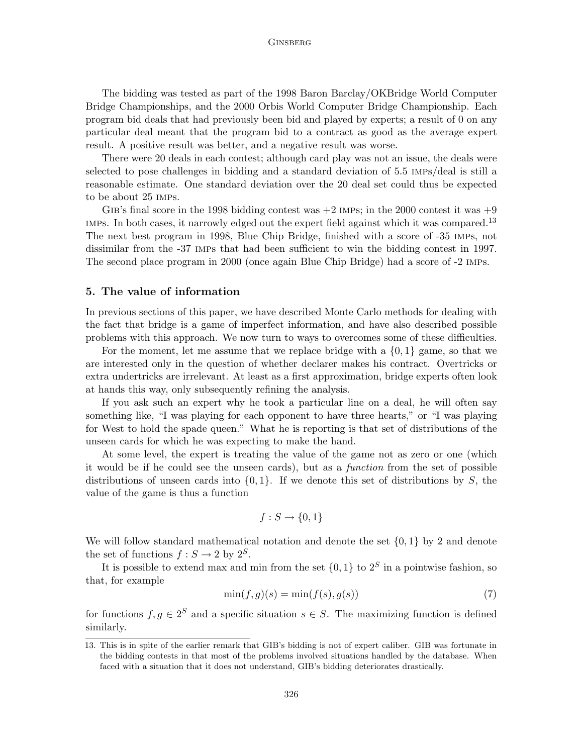The bidding was tested as part of the 1998 Baron Barclay/OKBridge World Computer Bridge Championships, and the 2000 Orbis World Computer Bridge Championship. Each program bid deals that had previously been bid and played by experts; a result of 0 on any particular deal meant that the program bid to a contract as good as the average expert result. A positive result was better, and a negative result was worse.

There were 20 deals in each contest; although card play was not an issue, the deals were selected to pose challenges in bidding and a standard deviation of 5.5 imps/deal is still a reasonable estimate. One standard deviation over the 20 deal set could thus be expected to be about 25 imps.

GIB's final score in the 1998 bidding contest was  $+2$  IMPs; in the 2000 contest it was  $+9$ IMPs. In both cases, it narrowly edged out the expert field against which it was compared.<sup>13</sup> The next best program in 1998, Blue Chip Bridge, finished with a score of -35 imps, not dissimilar from the -37 imps that had been sufficient to win the bidding contest in 1997. The second place program in 2000 (once again Blue Chip Bridge) had a score of -2 imps.

### 5. The value of information

In previous sections of this paper, we have described Monte Carlo methods for dealing with the fact that bridge is a game of imperfect information, and have also described possible problems with this approach. We now turn to ways to overcomes some of these difficulties.

For the moment, let me assume that we replace bridge with a  $\{0, 1\}$  game, so that we are interested only in the question of whether declarer makes his contract. Overtricks or extra undertricks are irrelevant. At least as a first approximation, bridge experts often look at hands this way, only subsequently refining the analysis.

If you ask such an expert why he took a particular line on a deal, he will often say something like, "I was playing for each opponent to have three hearts," or "I was playing for West to hold the spade queen." What he is reporting is that set of distributions of the unseen cards for which he was expecting to make the hand.

At some level, the expert is treating the value of the game not as zero or one (which it would be if he could see the unseen cards), but as a function from the set of possible distributions of unseen cards into  $\{0, 1\}$ . If we denote this set of distributions by S, the value of the game is thus a function

$$
f: S \to \{0, 1\}
$$

We will follow standard mathematical notation and denote the set  $\{0, 1\}$  by 2 and denote the set of functions  $f: S \to 2$  by  $2^S$ .

It is possible to extend max and min from the set  $\{0,1\}$  to  $2<sup>S</sup>$  in a pointwise fashion, so that, for example

$$
\min(f, g)(s) = \min(f(s), g(s))\tag{7}
$$

for functions  $f, g \in 2^S$  and a specific situation  $s \in S$ . The maximizing function is defined similarly.

<sup>13.</sup> This is in spite of the earlier remark that GIB's bidding is not of expert caliber. GIB was fortunate in the bidding contests in that most of the problems involved situations handled by the database. When faced with a situation that it does not understand, GIB's bidding deteriorates drastically.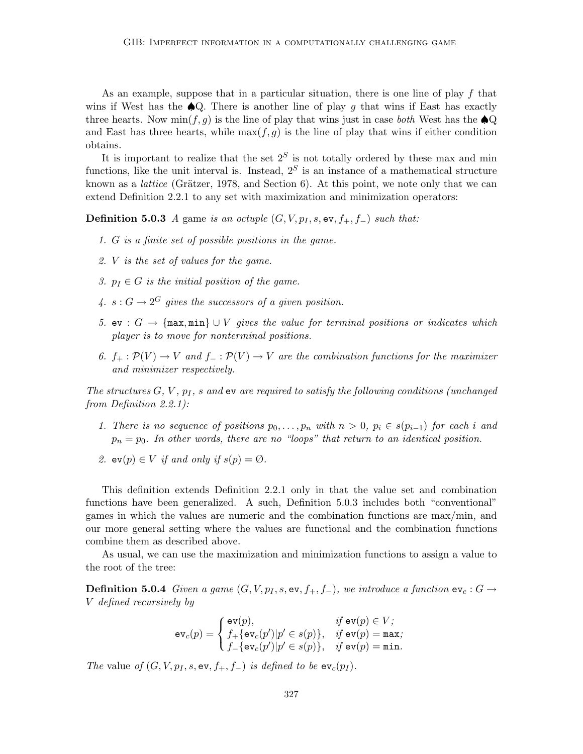As an example, suppose that in a particular situation, there is one line of play  $f$  that wins if West has the  $\triangle Q$ . There is another line of play g that wins if East has exactly three hearts. Now  $\min(f, g)$  is the line of play that wins just in case *both* West has the  $\triangle Q$ and East has three hearts, while  $\max(f, g)$  is the line of play that wins if either condition obtains.

It is important to realize that the set  $2<sup>S</sup>$  is not totally ordered by these max and min functions, like the unit interval is. Instead,  $2<sup>S</sup>$  is an instance of a mathematical structure known as a *lattice* (Grätzer, 1978, and Section  $6$ ). At this point, we note only that we can extend Definition 2.2.1 to any set with maximization and minimization operators:

**Definition 5.0.3** A game is an octuple  $(G, V, p_I, s, \text{ev}, f_+, f_-)$  such that:

- 1. G is a finite set of possible positions in the game.
- 2. V is the set of values for the game.
- 3.  $p_I \in G$  is the initial position of the game.
- 4.  $s: G \to 2^G$  gives the successors of a given position.
- 5. ev :  $G$  → {max, min} ∪ *V* gives the value for terminal positions or indicates which player is to move for nonterminal positions.
- 6.  $f_+ : \mathcal{P}(V) \to V$  and  $f_- : \mathcal{P}(V) \to V$  are the combination functions for the maximizer and minimizer respectively.

The structures  $G, V, p<sub>I</sub>, s$  and ev are required to satisfy the following conditions (unchanged from Definition 2.2.1):

- 1. There is no sequence of positions  $p_0, \ldots, p_n$  with  $n > 0$ ,  $p_i \in s(p_{i-1})$  for each i and  $p_n = p_0$ . In other words, there are no "loops" that return to an identical position.
- 2.  $ev(p) \in V$  if and only if  $s(p) = \emptyset$ .

This definition extends Definition 2.2.1 only in that the value set and combination functions have been generalized. A such, Definition 5.0.3 includes both "conventional" games in which the values are numeric and the combination functions are max/min, and our more general setting where the values are functional and the combination functions combine them as described above.

As usual, we can use the maximization and minimization functions to assign a value to the root of the tree:

**Definition 5.0.4** Given a game  $(G, V, p_I, s, ev, f_+, f_-)$ , we introduce a function  $ev_c : G \rightarrow$ V defined recursively by

$$
\mathrm{ev}_c(p) = \left\{ \begin{matrix} \mathrm{ev}(p), & \text{if } \mathrm{ev}(p) \in V; \\ f_+\{\mathrm{ev}_c(p')|p' \in s(p)\}, & \text{if } \mathrm{ev}(p) = \mathtt{max}; \\ f_-\{\mathrm{ev}_c(p')|p' \in s(p)\}, & \text{if } \mathrm{ev}(p) = \mathtt{min}. \end{matrix} \right.
$$

The value of  $(G, V, p_I, s, \text{ev}, f_+, f_-)$  is defined to be  $\text{ev}_c(p_I)$ .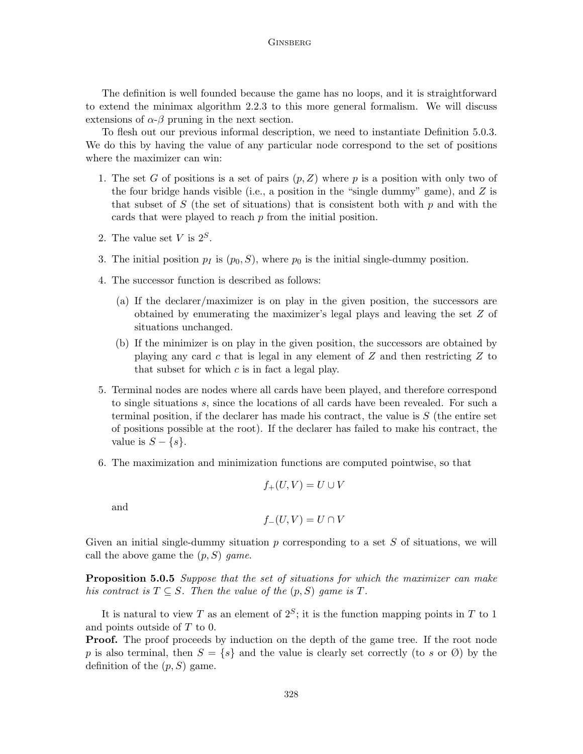The definition is well founded because the game has no loops, and it is straightforward to extend the minimax algorithm 2.2.3 to this more general formalism. We will discuss extensions of  $\alpha$ - $\beta$  pruning in the next section.

To flesh out our previous informal description, we need to instantiate Definition 5.0.3. We do this by having the value of any particular node correspond to the set of positions where the maximizer can win:

- 1. The set G of positions is a set of pairs  $(p, Z)$  where p is a position with only two of the four bridge hands visible (i.e., a position in the "single dummy" game), and  $Z$  is that subset of  $S$  (the set of situations) that is consistent both with  $p$  and with the cards that were played to reach p from the initial position.
- 2. The value set V is  $2^S$ .
- 3. The initial position  $p_I$  is  $(p_0, S)$ , where  $p_0$  is the initial single-dummy position.
- 4. The successor function is described as follows:
	- (a) If the declarer/maximizer is on play in the given position, the successors are obtained by enumerating the maximizer's legal plays and leaving the set Z of situations unchanged.
	- (b) If the minimizer is on play in the given position, the successors are obtained by playing any card c that is legal in any element of Z and then restricting Z to that subset for which  $c$  is in fact a legal play.
- 5. Terminal nodes are nodes where all cards have been played, and therefore correspond to single situations s, since the locations of all cards have been revealed. For such a terminal position, if the declarer has made his contract, the value is  $S$  (the entire set of positions possible at the root). If the declarer has failed to make his contract, the value is  $S - \{s\}.$
- 6. The maximization and minimization functions are computed pointwise, so that

$$
f_+(U,V)=U\cup V
$$

and

$$
f_{-}(U,V) = U \cap V
$$

Given an initial single-dummy situation  $p$  corresponding to a set  $S$  of situations, we will call the above game the  $(p, S)$  game.

Proposition 5.0.5 Suppose that the set of situations for which the maximizer can make his contract is  $T \subseteq S$ . Then the value of the  $(p, S)$  game is T.

It is natural to view T as an element of  $2^S$ ; it is the function mapping points in T to 1 and points outside of T to 0.

**Proof.** The proof proceeds by induction on the depth of the game tree. If the root node p is also terminal, then  $S = \{s\}$  and the value is clearly set correctly (to s or  $\emptyset$ ) by the definition of the  $(p, S)$  game.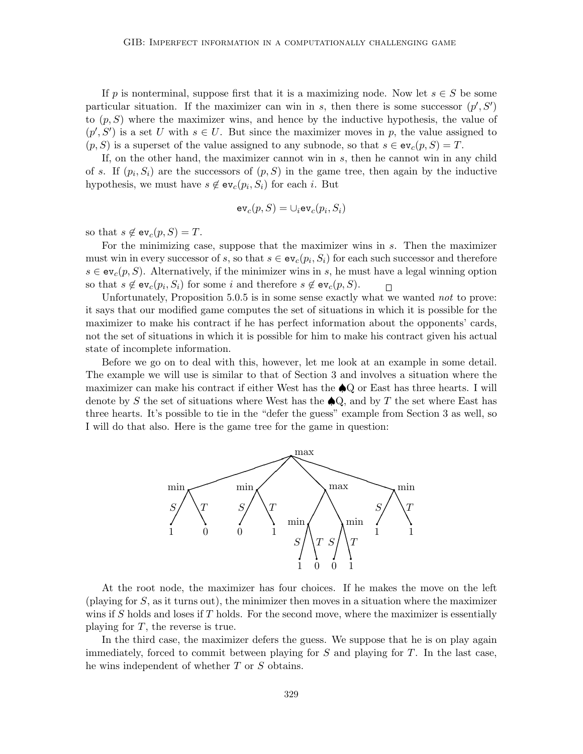If p is nonterminal, suppose first that it is a maximizing node. Now let  $s \in S$  be some particular situation. If the maximizer can win in s, then there is some successor  $(p', S')$ to  $(p, S)$  where the maximizer wins, and hence by the inductive hypothesis, the value of  $(p', S')$  is a set U with  $s \in U$ . But since the maximizer moves in p, the value assigned to  $(p, S)$  is a superset of the value assigned to any subnode, so that  $s \in ev_c(p, S) = T$ .

If, on the other hand, the maximizer cannot win in s, then he cannot win in any child of s. If  $(p_i, S_i)$  are the successors of  $(p, S)$  in the game tree, then again by the inductive hypothesis, we must have  $s \notin ev_c(p_i, S_i)$  for each i. But

$$
\text{ev}_c(p,S) = \cup_i \text{ev}_c(p_i,S_i)
$$

so that  $s \notin ev_c(p, S) = T$ .

For the minimizing case, suppose that the maximizer wins in s. Then the maximizer must win in every successor of s, so that  $s \in ev_c(p_i, S_i)$  for each such successor and therefore  $s \in \text{ev}_c(p, S)$ . Alternatively, if the minimizer wins in s, he must have a legal winning option so that  $s \notin \text{ev}_c(p_i, S_i)$  for some i and therefore  $s \notin \text{ev}_c(p, S)$ .  $\Box$ 

Unfortunately, Proposition 5.0.5 is in some sense exactly what we wanted not to prove: it says that our modified game computes the set of situations in which it is possible for the maximizer to make his contract if he has perfect information about the opponents' cards, not the set of situations in which it is possible for him to make his contract given his actual state of incomplete information.

Before we go on to deal with this, however, let me look at an example in some detail. The example we will use is similar to that of Section 3 and involves a situation where the maximizer can make his contract if either West has the ♠Q or East has three hearts. I will denote by S the set of situations where West has the  $\bigcirc$ Q, and by T the set where East has three hearts. It's possible to tie in the "defer the guess" example from Section 3 as well, so I will do that also. Here is the game tree for the game in question:



At the root node, the maximizer has four choices. If he makes the move on the left (playing for S, as it turns out), the minimizer then moves in a situation where the maximizer wins if S holds and loses if  $T$  holds. For the second move, where the maximizer is essentially playing for  $T$ , the reverse is true.

In the third case, the maximizer defers the guess. We suppose that he is on play again immediately, forced to commit between playing for  $S$  and playing for  $T$ . In the last case, he wins independent of whether T or S obtains.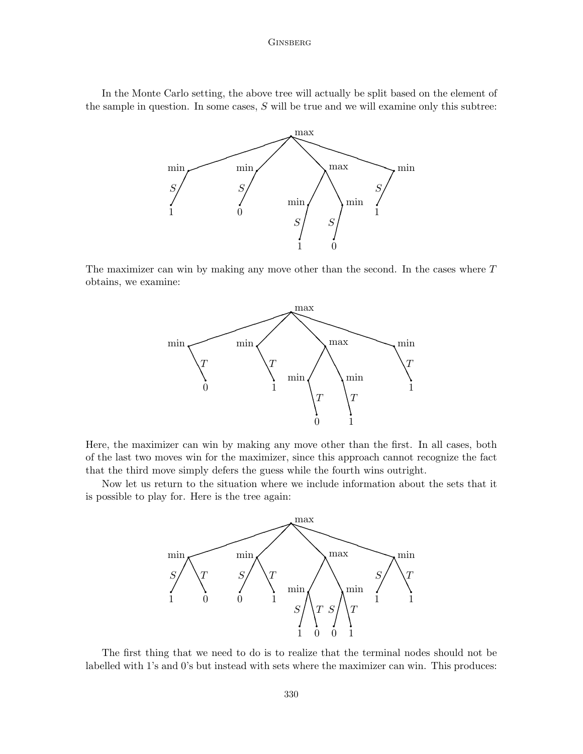In the Monte Carlo setting, the above tree will actually be split based on the element of the sample in question. In some cases,  $S$  will be true and we will examine only this subtree:



The maximizer can win by making any move other than the second. In the cases where T obtains, we examine:



Here, the maximizer can win by making any move other than the first. In all cases, both of the last two moves win for the maximizer, since this approach cannot recognize the fact that the third move simply defers the guess while the fourth wins outright.

Now let us return to the situation where we include information about the sets that it is possible to play for. Here is the tree again:



The first thing that we need to do is to realize that the terminal nodes should not be labelled with 1's and 0's but instead with sets where the maximizer can win. This produces: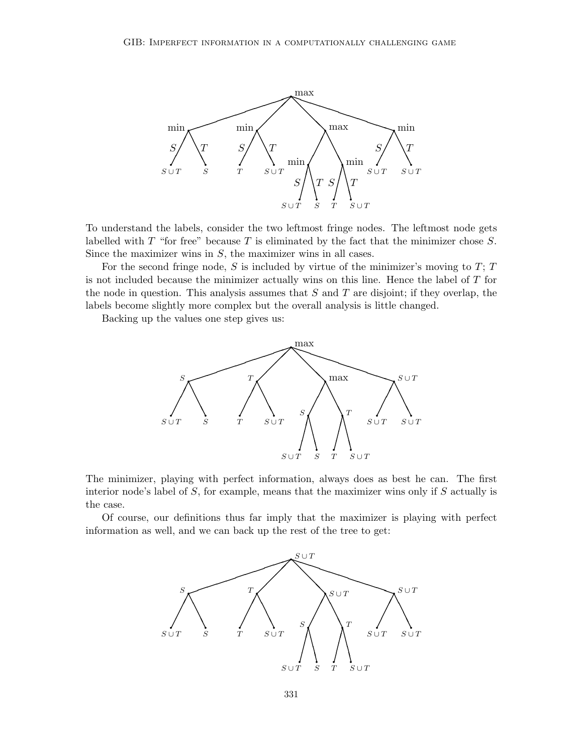

To understand the labels, consider the two leftmost fringe nodes. The leftmost node gets labelled with  $T$  "for free" because  $T$  is eliminated by the fact that the minimizer chose  $S$ . Since the maximizer wins in  $S$ , the maximizer wins in all cases.

For the second fringe node,  $S$  is included by virtue of the minimizer's moving to  $T$ ;  $T$ is not included because the minimizer actually wins on this line. Hence the label of T for the node in question. This analysis assumes that  $S$  and  $T$  are disjoint; if they overlap, the labels become slightly more complex but the overall analysis is little changed.

Backing up the values one step gives us:



The minimizer, playing with perfect information, always does as best he can. The first interior node's label of  $S$ , for example, means that the maximizer wins only if  $S$  actually is the case.

Of course, our definitions thus far imply that the maximizer is playing with perfect information as well, and we can back up the rest of the tree to get:

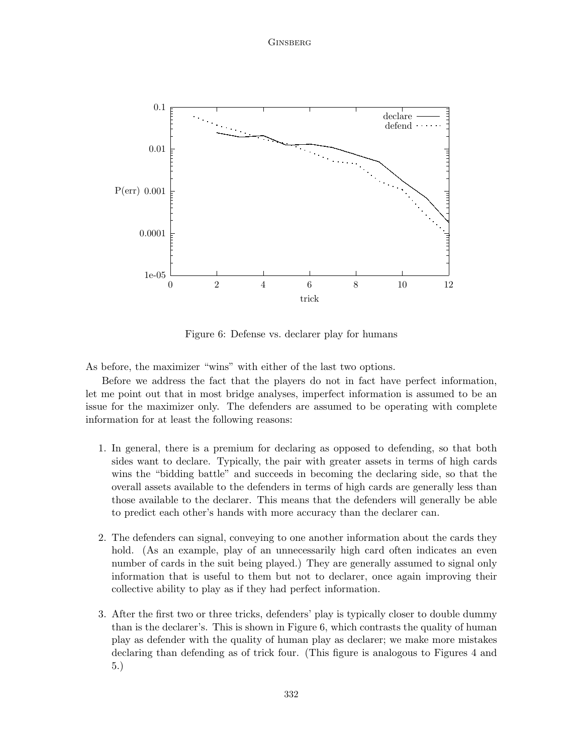

Figure 6: Defense vs. declarer play for humans

As before, the maximizer "wins" with either of the last two options.

Before we address the fact that the players do not in fact have perfect information, let me point out that in most bridge analyses, imperfect information is assumed to be an issue for the maximizer only. The defenders are assumed to be operating with complete information for at least the following reasons:

- 1. In general, there is a premium for declaring as opposed to defending, so that both sides want to declare. Typically, the pair with greater assets in terms of high cards wins the "bidding battle" and succeeds in becoming the declaring side, so that the overall assets available to the defenders in terms of high cards are generally less than those available to the declarer. This means that the defenders will generally be able to predict each other's hands with more accuracy than the declarer can.
- 2. The defenders can signal, conveying to one another information about the cards they hold. (As an example, play of an unnecessarily high card often indicates an even number of cards in the suit being played.) They are generally assumed to signal only information that is useful to them but not to declarer, once again improving their collective ability to play as if they had perfect information.
- 3. After the first two or three tricks, defenders' play is typically closer to double dummy than is the declarer's. This is shown in Figure 6, which contrasts the quality of human play as defender with the quality of human play as declarer; we make more mistakes declaring than defending as of trick four. (This figure is analogous to Figures 4 and 5.)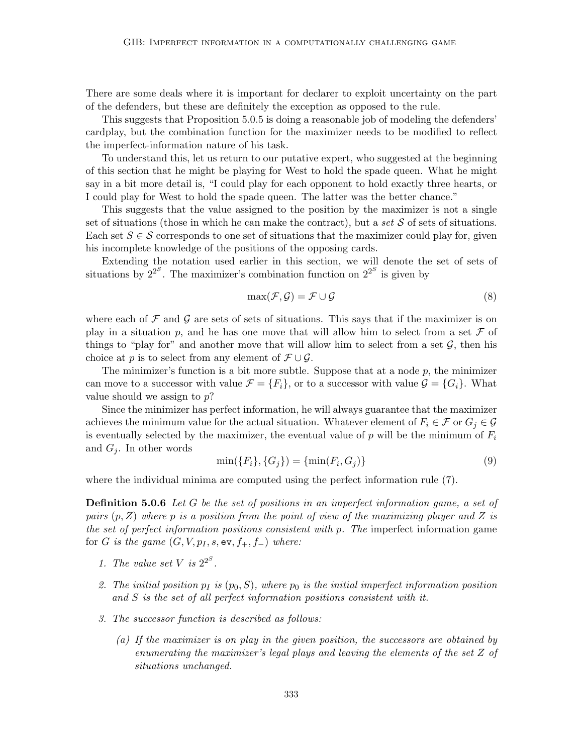There are some deals where it is important for declarer to exploit uncertainty on the part of the defenders, but these are definitely the exception as opposed to the rule.

This suggests that Proposition 5.0.5 is doing a reasonable job of modeling the defenders' cardplay, but the combination function for the maximizer needs to be modified to reflect the imperfect-information nature of his task.

To understand this, let us return to our putative expert, who suggested at the beginning of this section that he might be playing for West to hold the spade queen. What he might say in a bit more detail is, "I could play for each opponent to hold exactly three hearts, or I could play for West to hold the spade queen. The latter was the better chance."

This suggests that the value assigned to the position by the maximizer is not a single set of situations (those in which he can make the contract), but a set  $S$  of sets of situations. Each set  $S \in \mathcal{S}$  corresponds to one set of situations that the maximizer could play for, given his incomplete knowledge of the positions of the opposing cards.

Extending the notation used earlier in this section, we will denote the set of sets of situations by  $2^{2^S}$ . The maximizer's combination function on  $2^{2^S}$  is given by

$$
\max(\mathcal{F}, \mathcal{G}) = \mathcal{F} \cup \mathcal{G}
$$
\n<sup>(8)</sup>

where each of  $\mathcal F$  and  $\mathcal G$  are sets of sets of situations. This says that if the maximizer is on play in a situation p, and he has one move that will allow him to select from a set  $\mathcal F$  of things to "play for" and another move that will allow him to select from a set  $G$ , then his choice at p is to select from any element of  $\mathcal{F} \cup \mathcal{G}$ .

The minimizer's function is a bit more subtle. Suppose that at a node  $p$ , the minimizer can move to a successor with value  $\mathcal{F} = \{F_i\}$ , or to a successor with value  $\mathcal{G} = \{G_i\}$ . What value should we assign to  $p$ ?

Since the minimizer has perfect information, he will always guarantee that the maximizer achieves the minimum value for the actual situation. Whatever element of  $F_i \in \mathcal{F}$  or  $G_j \in \mathcal{G}$ is eventually selected by the maximizer, the eventual value of p will be the minimum of  $F_i$ and  $G_i$ . In other words

$$
\min(\{F_i\}, \{G_j\}) = \{\min(F_i, G_j)\}\tag{9}
$$

where the individual minima are computed using the perfect information rule (7).

**Definition 5.0.6** Let G be the set of positions in an imperfect information game, a set of pairs  $(p, Z)$  where p is a position from the point of view of the maximizing player and Z is the set of perfect information positions consistent with p. The imperfect information game for G is the game  $(G, V, p_I, s, \text{ev}, f_+, f_-)$  where:

- 1. The value set V is  $2^{2^S}$ .
- 2. The initial position  $p_I$  is  $(p_0, S)$ , where  $p_0$  is the initial imperfect information position and S is the set of all perfect information positions consistent with it.
- 3. The successor function is described as follows:
	- (a) If the maximizer is on play in the given position, the successors are obtained by enumerating the maximizer's legal plays and leaving the elements of the set Z of situations unchanged.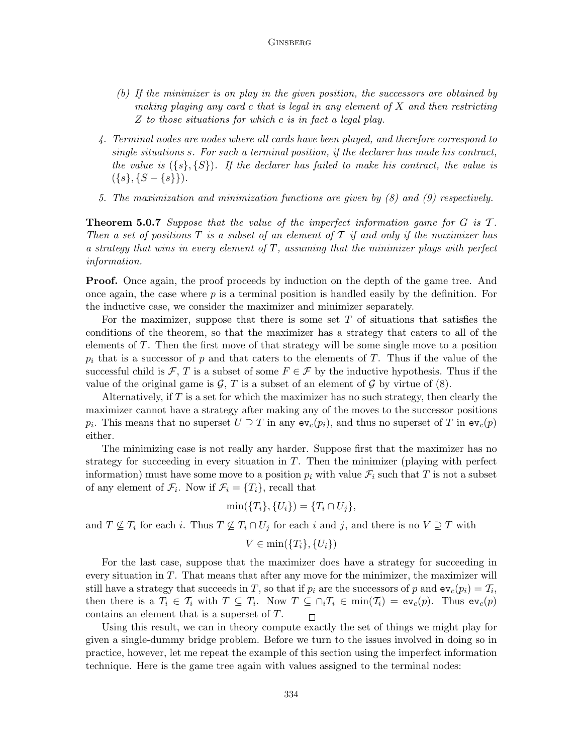- (b) If the minimizer is on play in the given position, the successors are obtained by making playing any card c that is legal in any element of  $X$  and then restricting Z to those situations for which c is in fact a legal play.
- 4. Terminal nodes are nodes where all cards have been played, and therefore correspond to single situations s. For such a terminal position, if the declarer has made his contract, the value is  $({s}, {S})$ . If the declarer has failed to make his contract, the value is  $({s}, {S - {s}}).$
- 5. The maximization and minimization functions are given by (8) and (9) respectively.

**Theorem 5.0.7** Suppose that the value of the imperfect information game for  $G$  is  $T$ . Then a set of positions  $T$  is a subset of an element of  $T$  if and only if the maximizer has a strategy that wins in every element of  $T$ , assuming that the minimizer plays with perfect information.

**Proof.** Once again, the proof proceeds by induction on the depth of the game tree. And once again, the case where  $p$  is a terminal position is handled easily by the definition. For the inductive case, we consider the maximizer and minimizer separately.

For the maximizer, suppose that there is some set  $T$  of situations that satisfies the conditions of the theorem, so that the maximizer has a strategy that caters to all of the elements of T. Then the first move of that strategy will be some single move to a position  $p_i$  that is a successor of p and that caters to the elements of T. Thus if the value of the successful child is  $\mathcal{F}, T$  is a subset of some  $F \in \mathcal{F}$  by the inductive hypothesis. Thus if the value of the original game is  $\mathcal{G}, T$  is a subset of an element of  $\mathcal{G}$  by virtue of  $(8)$ .

Alternatively, if T is a set for which the maximizer has no such strategy, then clearly the maximizer cannot have a strategy after making any of the moves to the successor positions  $p_i$ . This means that no superset  $U \supseteq T$  in any  $ev_c(p_i)$ , and thus no superset of T in  $ev_c(p)$ either.

The minimizing case is not really any harder. Suppose first that the maximizer has no strategy for succeeding in every situation in  $T$ . Then the minimizer (playing with perfect information) must have some move to a position  $p_i$  with value  $\mathcal{F}_i$  such that T is not a subset of any element of  $\mathcal{F}_i$ . Now if  $\mathcal{F}_i = \{T_i\}$ , recall that

$$
\min(\{T_i\}, \{U_i\}) = \{T_i \cap U_j\},\
$$

and  $T \nsubseteq T_i$  for each i. Thus  $T \nsubseteq T_i \cap U_j$  for each i and j, and there is no  $V \supseteq T$  with

$$
V \in \min(\{T_i\}, \{U_i\})
$$

For the last case, suppose that the maximizer does have a strategy for succeeding in every situation in  $T$ . That means that after any move for the minimizer, the maximizer will still have a strategy that succeeds in T, so that if  $p_i$  are the successors of p and  $ev_c(p_i) = T_i$ , then there is a  $T_i \in \mathcal{T}_i$  with  $T \subseteq T_i$ . Now  $T \subseteq \bigcap_i T_i \in \min(\mathcal{T}_i) = \mathsf{ev}_c(p)$ . Thus  $\mathsf{ev}_c(p)$ contains an element that is a superset of T.  $\Box$ 

Using this result, we can in theory compute exactly the set of things we might play for given a single-dummy bridge problem. Before we turn to the issues involved in doing so in practice, however, let me repeat the example of this section using the imperfect information technique. Here is the game tree again with values assigned to the terminal nodes: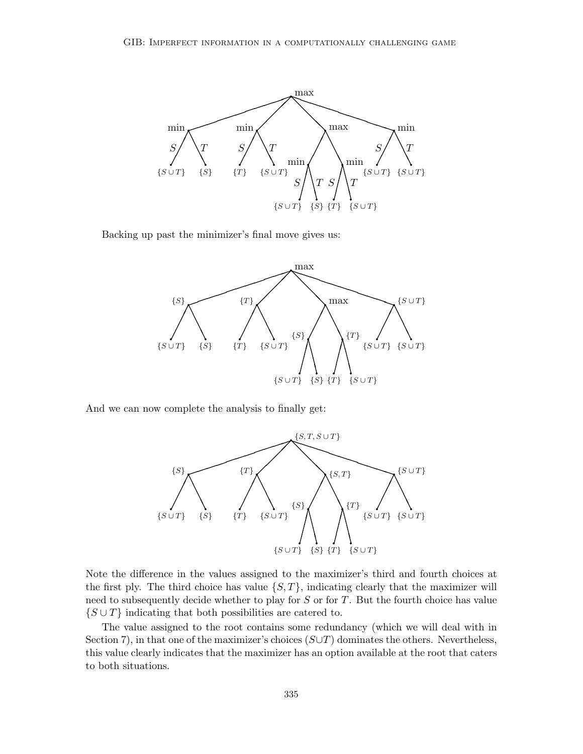

Backing up past the minimizer's final move gives us:



And we can now complete the analysis to finally get:



Note the difference in the values assigned to the maximizer's third and fourth choices at the first ply. The third choice has value  $\{S, T\}$ , indicating clearly that the maximizer will need to subsequently decide whether to play for  $S$  or for  $T$ . But the fourth choice has value  $\{S \cup T\}$  indicating that both possibilities are catered to.

The value assigned to the root contains some redundancy (which we will deal with in Section 7), in that one of the maximizer's choices  $(S \cup T)$  dominates the others. Nevertheless, this value clearly indicates that the maximizer has an option available at the root that caters to both situations.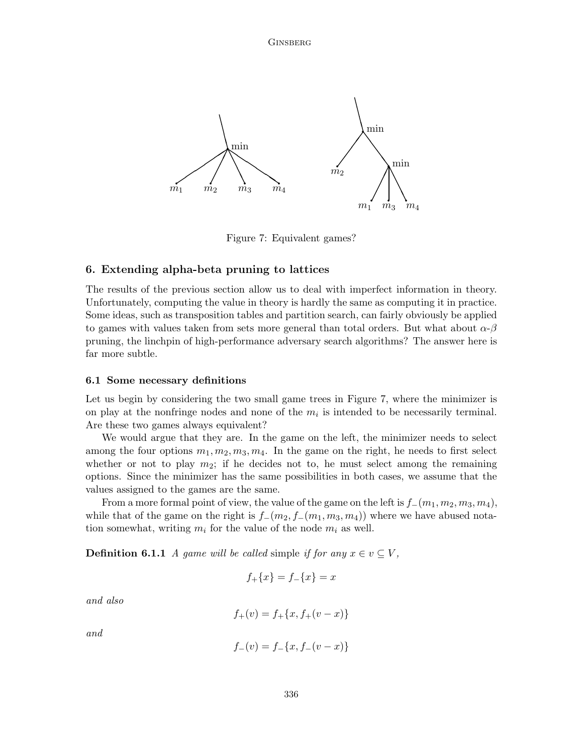

Figure 7: Equivalent games?

# 6. Extending alpha-beta pruning to lattices

The results of the previous section allow us to deal with imperfect information in theory. Unfortunately, computing the value in theory is hardly the same as computing it in practice. Some ideas, such as transposition tables and partition search, can fairly obviously be applied to games with values taken from sets more general than total orders. But what about  $\alpha$ - $\beta$ pruning, the linchpin of high-performance adversary search algorithms? The answer here is far more subtle.

#### 6.1 Some necessary definitions

Let us begin by considering the two small game trees in Figure 7, where the minimizer is on play at the nonfringe nodes and none of the  $m_i$  is intended to be necessarily terminal. Are these two games always equivalent?

We would argue that they are. In the game on the left, the minimizer needs to select among the four options  $m_1, m_2, m_3, m_4$ . In the game on the right, he needs to first select whether or not to play  $m_2$ ; if he decides not to, he must select among the remaining options. Since the minimizer has the same possibilities in both cases, we assume that the values assigned to the games are the same.

From a more formal point of view, the value of the game on the left is  $f_-(m_1, m_2, m_3, m_4)$ , while that of the game on the right is  $f_-(m_2, f_-(m_1, m_3, m_4))$  where we have abused notation somewhat, writing  $m_i$  for the value of the node  $m_i$  as well.

**Definition 6.1.1** A game will be called simple if for any  $x \in v \subseteq V$ ,

$$
f_{+}\{x\} = f_{-}\{x\} = x
$$

and also

$$
f_{+}(v) = f_{+}\{x, f_{+}(v - x)\}\
$$

and

$$
f_{-}(v) = f_{-}\{x, f_{-}(v - x)\}
$$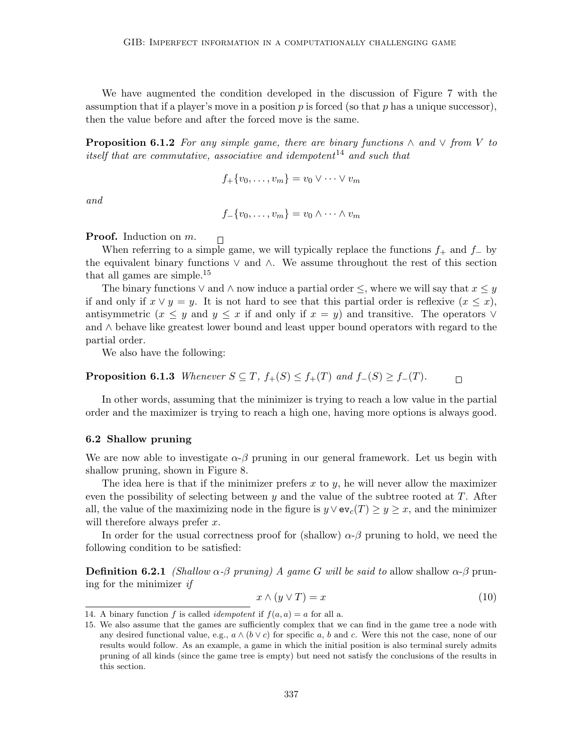We have augmented the condition developed in the discussion of Figure 7 with the assumption that if a player's move in a position  $p$  is forced (so that  $p$  has a unique successor), then the value before and after the forced move is the same.

**Proposition 6.1.2** For any simple game, there are binary functions  $\wedge$  and  $\vee$  from V to itself that are commutative, associative and idempotent<sup>14</sup> and such that

$$
f_{+}\{v_0,\ldots,v_m\}=v_0\vee\cdots\vee v_m
$$

and

$$
f_{-}\{v_0,\ldots,v_m\}=v_0\wedge\cdots\wedge v_m
$$

**Proof.** Induction on m.

 $\Box$ 

When referring to a simple game, we will typically replace the functions  $f_+$  and  $f_-$  by the equivalent binary functions ∨ and ∧. We assume throughout the rest of this section that all games are simple.<sup>15</sup>

The binary functions  $\vee$  and  $\wedge$  now induce a partial order  $\leq$ , where we will say that  $x \leq y$ if and only if  $x \vee y = y$ . It is not hard to see that this partial order is reflexive  $(x \leq x)$ , antisymmetric  $(x \leq y$  and  $y \leq x$  if and only if  $x = y$ ) and transitive. The operators  $\vee$ and ∧ behave like greatest lower bound and least upper bound operators with regard to the partial order.

We also have the following:

**Proposition 6.1.3** Whenever  $S \subseteq T$ ,  $f_+(S) \leq f_+(T)$  and  $f_-(S) \geq f_-(T)$ .  $\Box$ 

In other words, assuming that the minimizer is trying to reach a low value in the partial order and the maximizer is trying to reach a high one, having more options is always good.

#### 6.2 Shallow pruning

We are now able to investigate  $\alpha-\beta$  pruning in our general framework. Let us begin with shallow pruning, shown in Figure 8.

The idea here is that if the minimizer prefers  $x$  to  $y$ , he will never allow the maximizer even the possibility of selecting between  $y$  and the value of the subtree rooted at  $T$ . After all, the value of the maximizing node in the figure is  $y \vee ev_c(T) \ge y \ge x$ , and the minimizer will therefore always prefer  $x$ .

In order for the usual correctness proof for (shallow)  $\alpha$ - $\beta$  pruning to hold, we need the following condition to be satisfied:

**Definition 6.2.1** (Shallow  $\alpha$ -β pruning) A game G will be said to allow shallow  $\alpha$ -β pruning for the minimizer if

$$
x \wedge (y \vee T) = x \tag{10}
$$

<sup>14.</sup> A binary function f is called *idempotent* if  $f(a, a) = a$  for all a.

<sup>15.</sup> We also assume that the games are sufficiently complex that we can find in the game tree a node with any desired functional value, e.g.,  $a \wedge (b \vee c)$  for specific a, b and c. Were this not the case, none of our results would follow. As an example, a game in which the initial position is also terminal surely admits pruning of all kinds (since the game tree is empty) but need not satisfy the conclusions of the results in this section.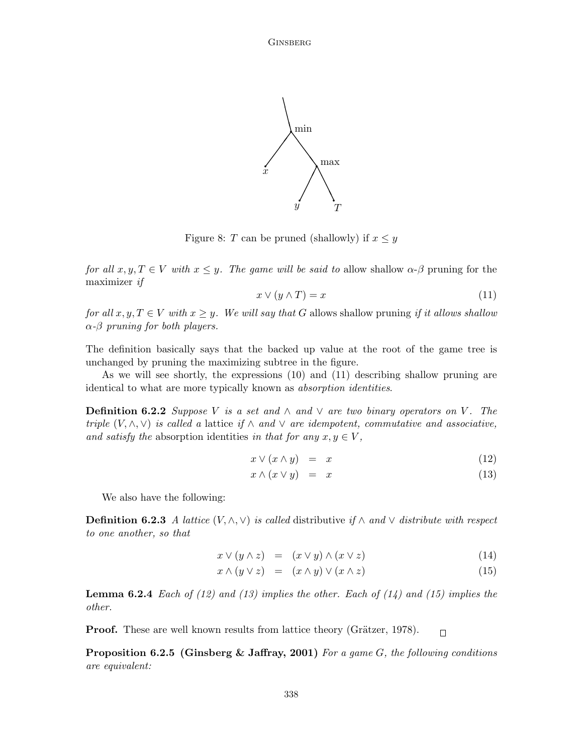

Figure 8: T can be pruned (shallowly) if  $x \leq y$ 

for all  $x, y, T \in V$  with  $x \leq y$ . The game will be said to allow shallow  $\alpha$ - $\beta$  pruning for the maximizer if

$$
x \lor (y \land T) = x \tag{11}
$$

for all  $x, y, T \in V$  with  $x \geq y$ . We will say that G allows shallow pruning if it allows shallow  $\alpha$ - $\beta$  pruning for both players.

The definition basically says that the backed up value at the root of the game tree is unchanged by pruning the maximizing subtree in the figure.

As we will see shortly, the expressions (10) and (11) describing shallow pruning are identical to what are more typically known as absorption identities.

**Definition 6.2.2** Suppose V is a set and  $\land$  and  $\lor$  are two binary operators on V. The triple  $(V, \wedge, \vee)$  is called a lattice if  $\wedge$  and  $\vee$  are idempotent, commutative and associative, and satisfy the absorption identities in that for any  $x, y \in V$ ,

$$
x \vee (x \wedge y) = x \tag{12}
$$

$$
x \wedge (x \vee y) = x \tag{13}
$$

We also have the following:

**Definition 6.2.3** A lattice  $(V, \land, \lor)$  is called distributive if  $\land$  and  $\lor$  distribute with respect to one another, so that

$$
x \vee (y \wedge z) = (x \vee y) \wedge (x \vee z) \tag{14}
$$

$$
x \wedge (y \vee z) = (x \wedge y) \vee (x \wedge z) \tag{15}
$$

**Lemma 6.2.4** Each of (12) and (13) implies the other. Each of (14) and (15) implies the other.

Proof. These are well known results from lattice theory (Grätzer, 1978).  $\Box$ 

**Proposition 6.2.5 (Ginsberg & Jaffray, 2001)** For a game G, the following conditions are equivalent: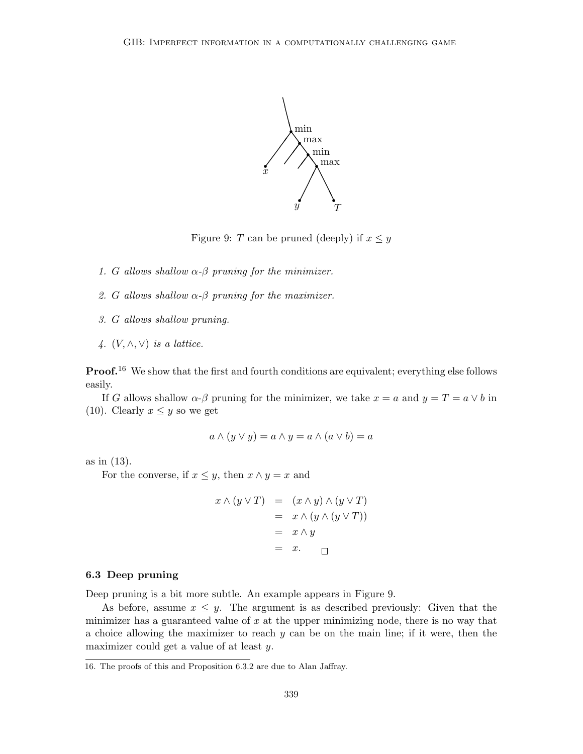

Figure 9: T can be pruned (deeply) if  $x \leq y$ 

- 1. G allows shallow  $\alpha$ - $\beta$  pruning for the minimizer.
- 2. G allows shallow  $\alpha$ - $\beta$  pruning for the maximizer.
- 3. G allows shallow pruning.
- 4.  $(V, \wedge, \vee)$  is a lattice.

**Proof.**<sup>16</sup> We show that the first and fourth conditions are equivalent; everything else follows easily.

If G allows shallow  $\alpha$ - $\beta$  pruning for the minimizer, we take  $x = a$  and  $y = T = a \vee b$  in (10). Clearly  $x \leq y$  so we get

$$
a \wedge (y \vee y) = a \wedge y = a \wedge (a \vee b) = a
$$

as in (13).

For the converse, if  $x \leq y$ , then  $x \wedge y = x$  and

$$
x \wedge (y \vee T) = (x \wedge y) \wedge (y \vee T)
$$
  
=  $x \wedge (y \wedge (y \vee T))$   
=  $x \wedge y$   
=  $x.$ 

## 6.3 Deep pruning

Deep pruning is a bit more subtle. An example appears in Figure 9.

As before, assume  $x \leq y$ . The argument is as described previously: Given that the minimizer has a guaranteed value of  $x$  at the upper minimizing node, there is no way that a choice allowing the maximizer to reach  $y$  can be on the main line; if it were, then the maximizer could get a value of at least y.

<sup>16.</sup> The proofs of this and Proposition 6.3.2 are due to Alan Jaffray.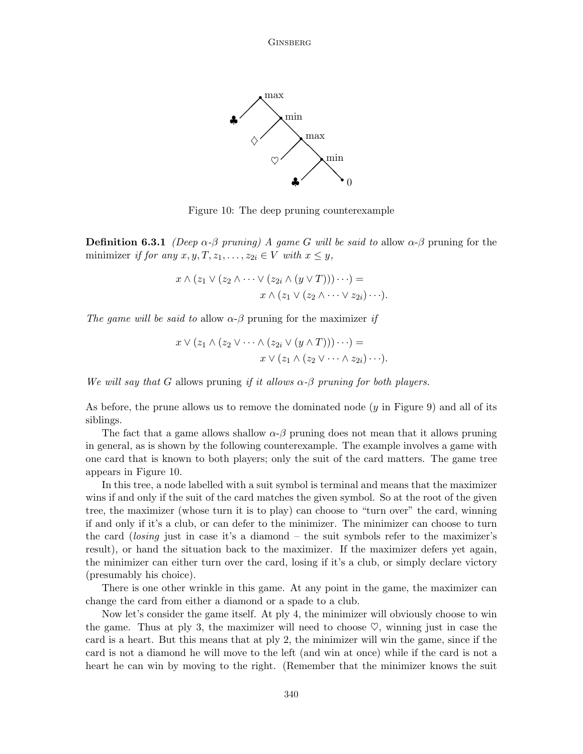

Figure 10: The deep pruning counterexample

**Definition 6.3.1** (Deep  $\alpha$ - $\beta$  pruning) A game G will be said to allow  $\alpha$ - $\beta$  pruning for the minimizer if for any  $x, y, T, z_1, \ldots, z_{2i} \in V$  with  $x \leq y$ ,

$$
x \wedge (z_1 \vee (z_2 \wedge \cdots \vee (z_{2i} \wedge (y \vee T))) \cdots) =
$$
  

$$
x \wedge (z_1 \vee (z_2 \wedge \cdots \vee z_{2i}) \cdots).
$$

The game will be said to allow  $\alpha$ - $\beta$  pruning for the maximizer if

$$
x \vee (z_1 \wedge (z_2 \vee \cdots \wedge (z_{2i} \vee (y \wedge T))) \cdots) =
$$
  

$$
x \vee (z_1 \wedge (z_2 \vee \cdots \wedge z_{2i}) \cdots).
$$

We will say that G allows pruning if it allows  $\alpha$ - $\beta$  pruning for both players.

As before, the prune allows us to remove the dominated node  $(y \text{ in Figure 9})$  and all of its siblings.

The fact that a game allows shallow  $\alpha$ - $\beta$  pruning does not mean that it allows pruning in general, as is shown by the following counterexample. The example involves a game with one card that is known to both players; only the suit of the card matters. The game tree appears in Figure 10.

In this tree, a node labelled with a suit symbol is terminal and means that the maximizer wins if and only if the suit of the card matches the given symbol. So at the root of the given tree, the maximizer (whose turn it is to play) can choose to "turn over" the card, winning if and only if it's a club, or can defer to the minimizer. The minimizer can choose to turn the card (losing just in case it's a diamond – the suit symbols refer to the maximizer's result), or hand the situation back to the maximizer. If the maximizer defers yet again, the minimizer can either turn over the card, losing if it's a club, or simply declare victory (presumably his choice).

There is one other wrinkle in this game. At any point in the game, the maximizer can change the card from either a diamond or a spade to a club.

Now let's consider the game itself. At ply 4, the minimizer will obviously choose to win the game. Thus at ply 3, the maximizer will need to choose  $\heartsuit$ , winning just in case the card is a heart. But this means that at ply 2, the minimizer will win the game, since if the card is not a diamond he will move to the left (and win at once) while if the card is not a heart he can win by moving to the right. (Remember that the minimizer knows the suit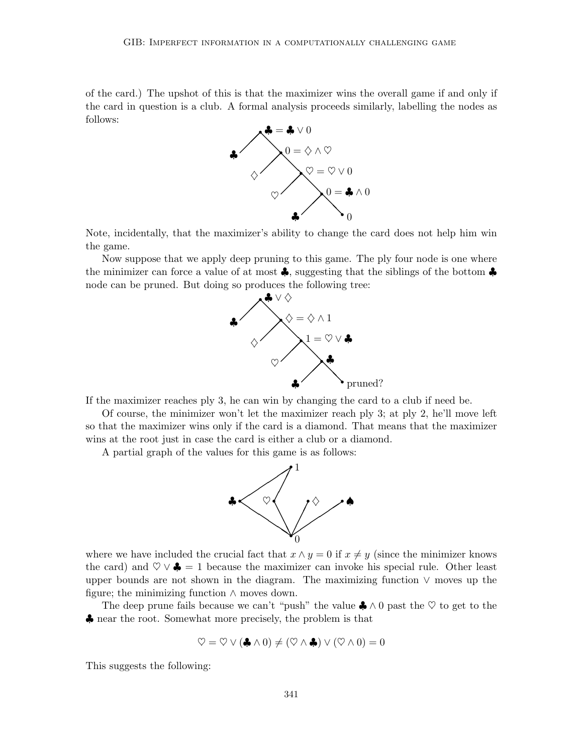of the card.) The upshot of this is that the maximizer wins the overall game if and only if the card in question is a club. A formal analysis proceeds similarly, labelling the nodes as follows:



Note, incidentally, that the maximizer's ability to change the card does not help him win the game.

Now suppose that we apply deep pruning to this game. The ply four node is one where the minimizer can force a value of at most  $\clubsuit$ , suggesting that the siblings of the bottom  $\clubsuit$ node can be pruned. But doing so produces the following tree:



If the maximizer reaches ply 3, he can win by changing the card to a club if need be.

Of course, the minimizer won't let the maximizer reach ply 3; at ply 2, he'll move left so that the maximizer wins only if the card is a diamond. That means that the maximizer wins at the root just in case the card is either a club or a diamond.

A partial graph of the values for this game is as follows:



where we have included the crucial fact that  $x \wedge y = 0$  if  $x \neq y$  (since the minimizer knows the card) and  $\heartsuit \vee \clubsuit = 1$  because the maximizer can invoke his special rule. Other least upper bounds are not shown in the diagram. The maximizing function ∨ moves up the figure; the minimizing function  $\land$  moves down.

The deep prune fails because we can't "push" the value  $\clubsuit \wedge 0$  past the  $\heartsuit$  to get to the ♣ near the root. Somewhat more precisely, the problem is that

$$
\heartsuit = \heartsuit \vee (\clubsuit \wedge 0) \neq (\heartsuit \wedge \clubsuit) \vee (\heartsuit \wedge 0) = 0
$$

This suggests the following: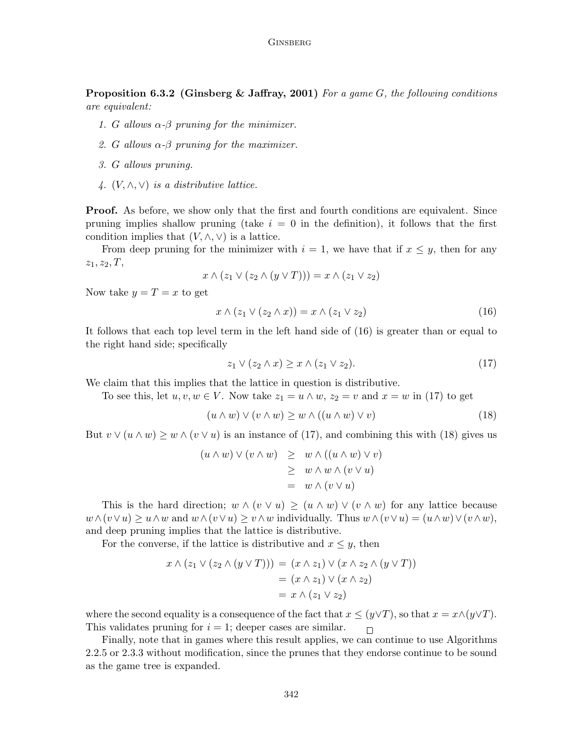**Proposition 6.3.2 (Ginsberg & Jaffray, 2001)** For a game G, the following conditions are equivalent:

- 1. G allows  $\alpha$ - $\beta$  pruning for the minimizer.
- 2. G allows  $\alpha-\beta$  pruning for the maximizer.
- 3. G allows pruning.
- 4.  $(V, \wedge, \vee)$  is a distributive lattice.

**Proof.** As before, we show only that the first and fourth conditions are equivalent. Since pruning implies shallow pruning (take  $i = 0$  in the definition), it follows that the first condition implies that  $(V, \wedge, \vee)$  is a lattice.

From deep pruning for the minimizer with  $i = 1$ , we have that if  $x \leq y$ , then for any  $z_1, z_2, T$ ,

$$
x \wedge (z_1 \vee (z_2 \wedge (y \vee T))) = x \wedge (z_1 \vee z_2)
$$

Now take  $y = T = x$  to get

$$
x \wedge (z_1 \vee (z_2 \wedge x)) = x \wedge (z_1 \vee z_2) \tag{16}
$$

It follows that each top level term in the left hand side of (16) is greater than or equal to the right hand side; specifically

$$
z_1 \lor (z_2 \land x) \ge x \land (z_1 \lor z_2). \tag{17}
$$

We claim that this implies that the lattice in question is distributive.

To see this, let  $u, v, w \in V$ . Now take  $z_1 = u \wedge w$ ,  $z_2 = v$  and  $x = w$  in (17) to get

$$
(u \wedge w) \vee (v \wedge w) \ge w \wedge ((u \wedge w) \vee v) \tag{18}
$$

But  $v \vee (u \wedge w) \geq w \wedge (v \vee u)$  is an instance of (17), and combining this with (18) gives us

$$
(u \wedge w) \vee (v \wedge w) \geq w \wedge ((u \wedge w) \vee v)
$$
  
\n
$$
\geq w \wedge w \wedge (v \vee u)
$$
  
\n
$$
= w \wedge (v \vee u)
$$

This is the hard direction;  $w \wedge (v \vee u) \ge (u \wedge w) \vee (v \wedge w)$  for any lattice because  $w \wedge (v \vee u) \geq u \wedge w$  and  $w \wedge (v \vee u) \geq v \wedge w$  individually. Thus  $w \wedge (v \vee u) = (u \wedge w) \vee (v \wedge w)$ , and deep pruning implies that the lattice is distributive.

For the converse, if the lattice is distributive and  $x \leq y$ , then

$$
x \wedge (z_1 \vee (z_2 \wedge (y \vee T))) = (x \wedge z_1) \vee (x \wedge z_2 \wedge (y \vee T))
$$
  
= 
$$
(x \wedge z_1) \vee (x \wedge z_2)
$$
  
= 
$$
x \wedge (z_1 \vee z_2)
$$

where the second equality is a consequence of the fact that  $x \leq (y \vee T)$ , so that  $x = x \wedge (y \vee T)$ . This validates pruning for  $i = 1$ ; deeper cases are similar.  $\Box$ 

Finally, note that in games where this result applies, we can continue to use Algorithms 2.2.5 or 2.3.3 without modification, since the prunes that they endorse continue to be sound as the game tree is expanded.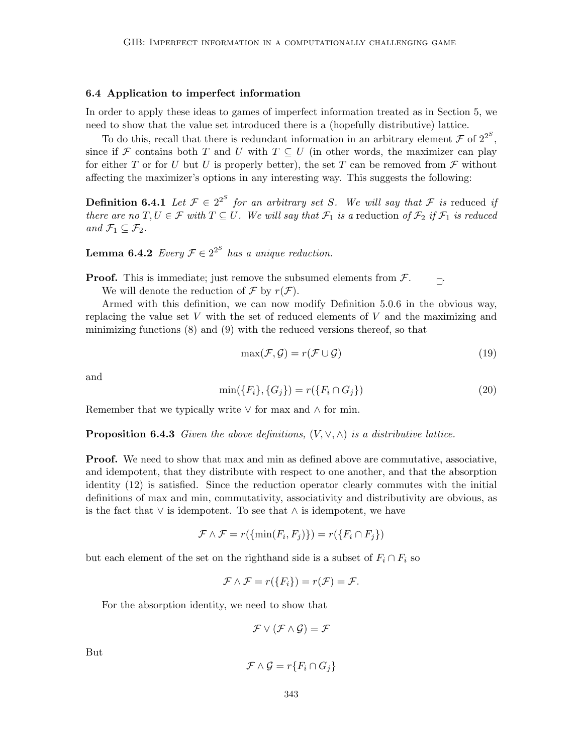#### 6.4 Application to imperfect information

In order to apply these ideas to games of imperfect information treated as in Section 5, we need to show that the value set introduced there is a (hopefully distributive) lattice.

To do this, recall that there is redundant information in an arbitrary element  $\mathcal F$  of  $2^{2^S}$ , since if F contains both T and U with  $T \subseteq U$  (in other words, the maximizer can play for either T or for U but U is properly better), the set T can be removed from  $\mathcal F$  without affecting the maximizer's options in any interesting way. This suggests the following:

**Definition 6.4.1** Let  $\mathcal{F} \in 2^{2^S}$  for an arbitrary set S. We will say that  $\mathcal{F}$  is reduced if there are no  $T, U \in \mathcal{F}$  with  $T \subseteq U$ . We will say that  $\mathcal{F}_1$  is a reduction of  $\mathcal{F}_2$  if  $\mathcal{F}_1$  is reduced and  $\mathcal{F}_1 \subseteq \mathcal{F}_2$ .

**Lemma 6.4.2** Every  $\mathcal{F} \in 2^{2^S}$  has a unique reduction.

**Proof.** This is immediate; just remove the subsumed elements from  $\mathcal{F}$ .

We will denote the reduction of  $\mathcal F$  by  $r(\mathcal F)$ .

Armed with this definition, we can now modify Definition 5.0.6 in the obvious way, replacing the value set V with the set of reduced elements of V and the maximizing and minimizing functions (8) and (9) with the reduced versions thereof, so that

$$
\max(\mathcal{F}, \mathcal{G}) = r(\mathcal{F} \cup \mathcal{G}) \tag{19}
$$

and

$$
\min(\{F_i\}, \{G_j\}) = r(\{F_i \cap G_j\})\tag{20}
$$

Remember that we typically write  $\vee$  for max and  $\wedge$  for min.

**Proposition 6.4.3** Given the above definitions,  $(V, \vee, \wedge)$  is a distributive lattice.

**Proof.** We need to show that max and min as defined above are commutative, associative, and idempotent, that they distribute with respect to one another, and that the absorption identity (12) is satisfied. Since the reduction operator clearly commutes with the initial definitions of max and min, commutativity, associativity and distributivity are obvious, as is the fact that  $\vee$  is idempotent. To see that  $\wedge$  is idempotent, we have

$$
\mathcal{F} \wedge \mathcal{F} = r(\{\min(F_i, F_j)\}) = r(\{F_i \cap F_j\})
$$

but each element of the set on the righthand side is a subset of  $F_i \cap F_i$  so

$$
\mathcal{F} \wedge \mathcal{F} = r(\{F_i\}) = r(\mathcal{F}) = \mathcal{F}.
$$

For the absorption identity, we need to show that

 $\mathcal{F} \vee (\mathcal{F} \wedge \mathcal{G}) = \mathcal{F}$ 

But

$$
\mathcal{F} \wedge \mathcal{G} = r\{F_i \cap G_j\}
$$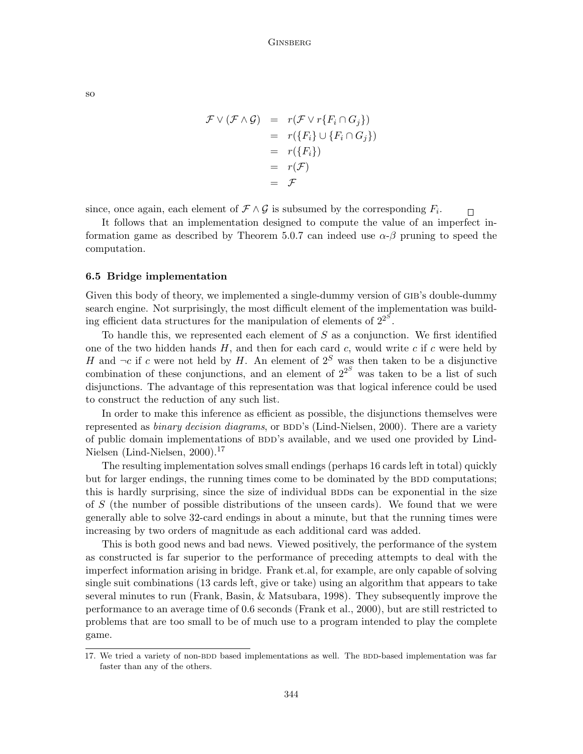$\mathcal{F} \vee (\mathcal{F} \wedge \mathcal{G}) = r(\mathcal{F} \vee r\{F_i \cap G_j\})$  $= r({F_i} \cup {F_i \cap G_j})$  $= r({F_i})$  $= r(\mathcal{F})$  $=$   $\mathcal{F}$ 

since, once again, each element of  $\mathcal{F} \wedge \mathcal{G}$  is subsumed by the corresponding  $F_i$ .  $\Box$ 

It follows that an implementation designed to compute the value of an imperfect information game as described by Theorem 5.0.7 can indeed use  $\alpha$ - $\beta$  pruning to speed the computation.

### 6.5 Bridge implementation

Given this body of theory, we implemented a single-dummy version of GIB's double-dummy search engine. Not surprisingly, the most difficult element of the implementation was building efficient data structures for the manipulation of elements of  $2^{2^s}$ .

To handle this, we represented each element of  $S$  as a conjunction. We first identified one of the two hidden hands  $H$ , and then for each card  $c$ , would write  $c$  if  $c$  were held by H and  $\neg c$  if c were not held by H. An element of  $2<sup>S</sup>$  was then taken to be a disjunctive combination of these conjunctions, and an element of  $2^{2^S}$  was taken to be a list of such disjunctions. The advantage of this representation was that logical inference could be used to construct the reduction of any such list.

In order to make this inference as efficient as possible, the disjunctions themselves were represented as *binary decision diagrams*, or BDD's (Lind-Nielsen, 2000). There are a variety of public domain implementations of BDD's available, and we used one provided by Lind-Nielsen (Lind-Nielsen, 2000).<sup>17</sup>

The resulting implementation solves small endings (perhaps 16 cards left in total) quickly but for larger endings, the running times come to be dominated by the BDD computations; this is hardly surprising, since the size of individual BDDs can be exponential in the size of S (the number of possible distributions of the unseen cards). We found that we were generally able to solve 32-card endings in about a minute, but that the running times were increasing by two orders of magnitude as each additional card was added.

This is both good news and bad news. Viewed positively, the performance of the system as constructed is far superior to the performance of preceding attempts to deal with the imperfect information arising in bridge. Frank et.al, for example, are only capable of solving single suit combinations (13 cards left, give or take) using an algorithm that appears to take several minutes to run (Frank, Basin, & Matsubara, 1998). They subsequently improve the performance to an average time of 0.6 seconds (Frank et al., 2000), but are still restricted to problems that are too small to be of much use to a program intended to play the complete game.

so

<sup>17.</sup> We tried a variety of non-BDD based implementations as well. The BDD-based implementation was far faster than any of the others.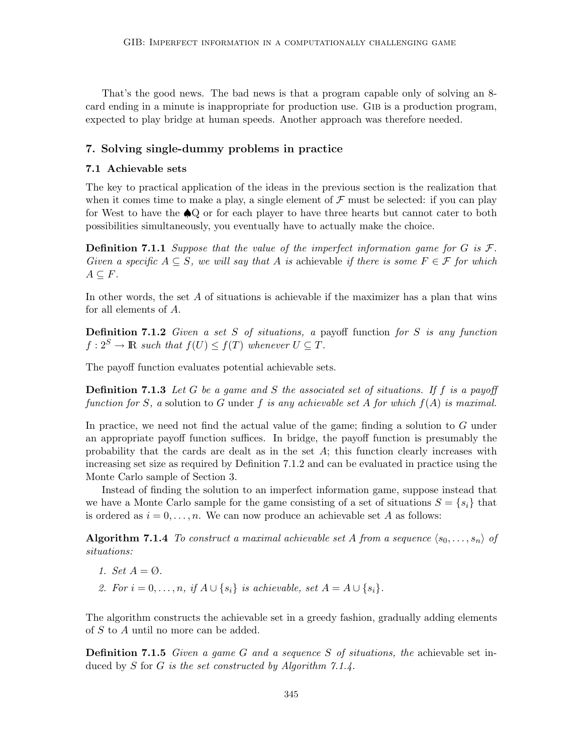That's the good news. The bad news is that a program capable only of solving an 8 card ending in a minute is inappropriate for production use. GIB is a production program, expected to play bridge at human speeds. Another approach was therefore needed.

# 7. Solving single-dummy problems in practice

### 7.1 Achievable sets

The key to practical application of the ideas in the previous section is the realization that when it comes time to make a play, a single element of  $\mathcal F$  must be selected: if you can play for West to have the ♠Q or for each player to have three hearts but cannot cater to both possibilities simultaneously, you eventually have to actually make the choice.

**Definition 7.1.1** Suppose that the value of the imperfect information game for G is  $\mathcal{F}$ . Given a specific  $A \subseteq S$ , we will say that A is achievable if there is some  $F \in \mathcal{F}$  for which  $A\subseteq F$ .

In other words, the set A of situations is achievable if the maximizer has a plan that wins for all elements of A.

**Definition 7.1.2** Given a set S of situations, a payoff function for S is any function  $f: 2^S \to \mathbb{R}$  such that  $f(U) \leq f(T)$  whenever  $U \subseteq T$ .

The payoff function evaluates potential achievable sets.

**Definition 7.1.3** Let G be a game and S the associated set of situations. If f is a payoff function for S, a solution to G under f is any achievable set A for which  $f(A)$  is maximal.

In practice, we need not find the actual value of the game; finding a solution to G under an appropriate payoff function suffices. In bridge, the payoff function is presumably the probability that the cards are dealt as in the set A; this function clearly increases with increasing set size as required by Definition 7.1.2 and can be evaluated in practice using the Monte Carlo sample of Section 3.

Instead of finding the solution to an imperfect information game, suppose instead that we have a Monte Carlo sample for the game consisting of a set of situations  $S = \{s_i\}$  that is ordered as  $i = 0, \ldots, n$ . We can now produce an achievable set A as follows:

**Algorithm 7.1.4** To construct a maximal achievable set A from a sequence  $\langle s_0, \ldots, s_n \rangle$  of situations:

- 1. Set  $A = \emptyset$ .
- 2. For  $i = 0, \ldots, n$ , if  $A \cup \{s_i\}$  is achievable, set  $A = A \cup \{s_i\}$ .

The algorithm constructs the achievable set in a greedy fashion, gradually adding elements of S to A until no more can be added.

**Definition 7.1.5** Given a game G and a sequence S of situations, the achievable set induced by S for G is the set constructed by Algorithm 7.1.4.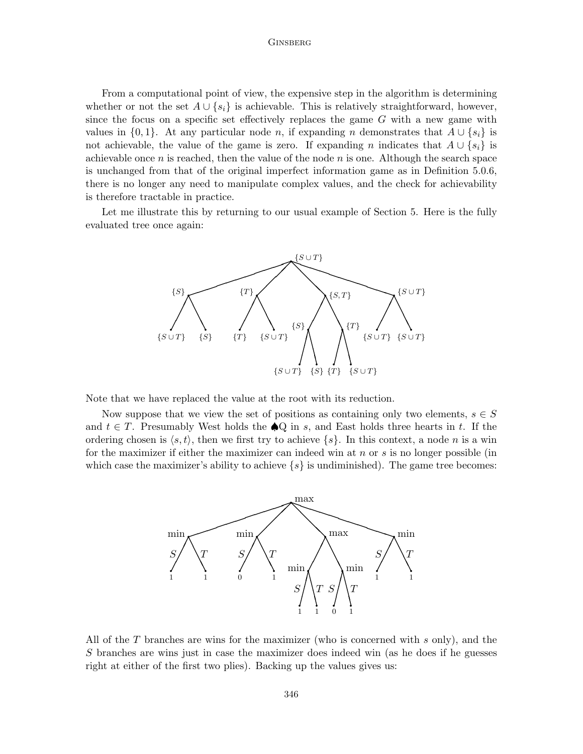From a computational point of view, the expensive step in the algorithm is determining whether or not the set  $A \cup \{s_i\}$  is achievable. This is relatively straightforward, however, since the focus on a specific set effectively replaces the game  $G$  with a new game with values in  $\{0, 1\}$ . At any particular node n, if expanding n demonstrates that  $A \cup \{s_i\}$  is not achievable, the value of the game is zero. If expanding n indicates that  $A \cup \{s_i\}$  is achievable once n is reached, then the value of the node  $n$  is one. Although the search space is unchanged from that of the original imperfect information game as in Definition 5.0.6, there is no longer any need to manipulate complex values, and the check for achievability is therefore tractable in practice.

Let me illustrate this by returning to our usual example of Section 5. Here is the fully evaluated tree once again:



Note that we have replaced the value at the root with its reduction.

Now suppose that we view the set of positions as containing only two elements,  $s \in S$ and  $t \in T$ . Presumably West holds the  $\bigcirc$ Q in s, and East holds three hearts in t. If the ordering chosen is  $\langle s, t \rangle$ , then we first try to achieve  $\{s\}$ . In this context, a node n is a win for the maximizer if either the maximizer can indeed win at  $n \text{ or } s$  is no longer possible (in which case the maximizer's ability to achieve  $\{s\}$  is undiminished). The game tree becomes:



All of the T branches are wins for the maximizer (who is concerned with s only), and the S branches are wins just in case the maximizer does indeed win (as he does if he guesses right at either of the first two plies). Backing up the values gives us: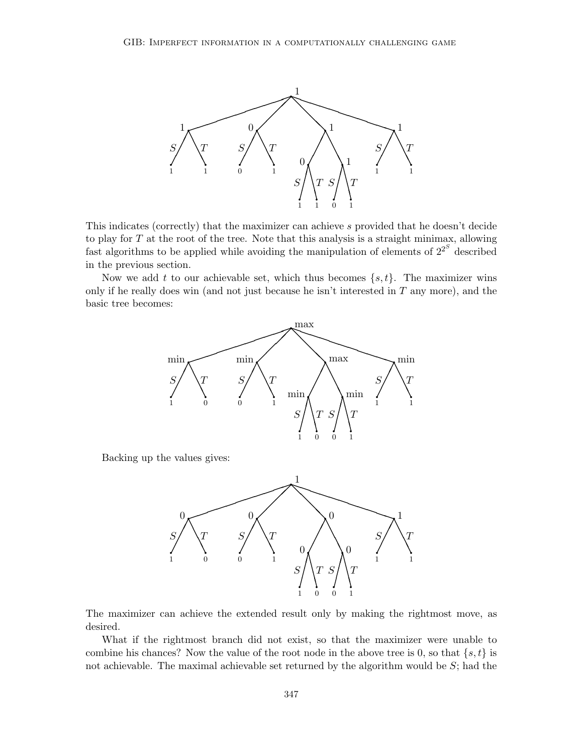

This indicates (correctly) that the maximizer can achieve s provided that he doesn't decide to play for  $T$  at the root of the tree. Note that this analysis is a straight minimax, allowing fast algorithms to be applied while avoiding the manipulation of elements of  $2^{2^S}$  described in the previous section.

Now we add t to our achievable set, which thus becomes  $\{s, t\}$ . The maximizer wins only if he really does win (and not just because he isn't interested in  $T$  any more), and the basic tree becomes:



Backing up the values gives:



The maximizer can achieve the extended result only by making the rightmost move, as desired.

What if the rightmost branch did not exist, so that the maximizer were unable to combine his chances? Now the value of the root node in the above tree is 0, so that  $\{s, t\}$  is not achievable. The maximal achievable set returned by the algorithm would be  $S$ ; had the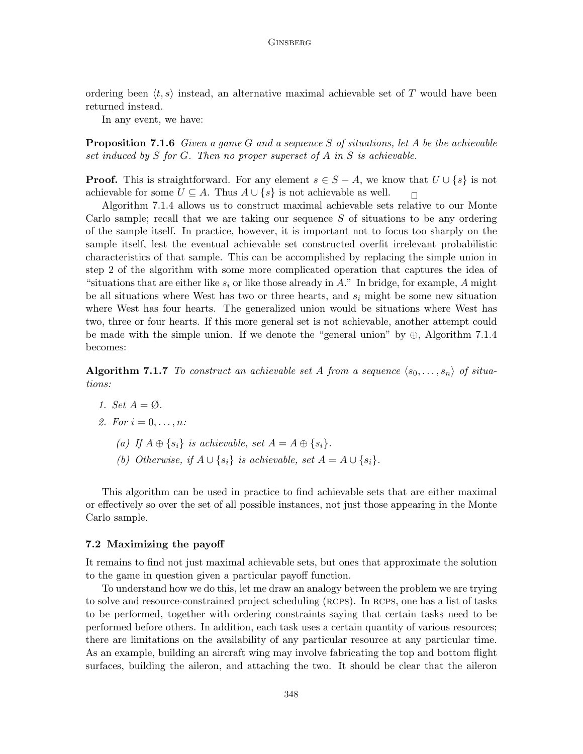ordering been  $\langle t, s \rangle$  instead, an alternative maximal achievable set of T would have been returned instead.

In any event, we have:

**Proposition 7.1.6** Given a game G and a sequence S of situations, let A be the achievable set induced by  $S$  for  $G$ . Then no proper superset of  $A$  in  $S$  is achievable.

**Proof.** This is straightforward. For any element  $s \in S - A$ , we know that  $U \cup \{s\}$  is not achievable for some  $U \subseteq A$ . Thus  $A \cup \{s\}$  is not achievable as well.  $\Box$ 

Algorithm 7.1.4 allows us to construct maximal achievable sets relative to our Monte Carlo sample; recall that we are taking our sequence  $S$  of situations to be any ordering of the sample itself. In practice, however, it is important not to focus too sharply on the sample itself, lest the eventual achievable set constructed overfit irrelevant probabilistic characteristics of that sample. This can be accomplished by replacing the simple union in step 2 of the algorithm with some more complicated operation that captures the idea of "situations that are either like  $s_i$  or like those already in A." In bridge, for example, A might be all situations where West has two or three hearts, and  $s_i$  might be some new situation where West has four hearts. The generalized union would be situations where West has two, three or four hearts. If this more general set is not achievable, another attempt could be made with the simple union. If we denote the "general union" by  $\oplus$ , Algorithm 7.1.4 becomes:

Algorithm 7.1.7 To construct an achievable set A from a sequence  $\langle s_0, \ldots, s_n \rangle$  of situations:

1. Set  $A = \emptyset$ .

2. For 
$$
i = 0, \ldots, n
$$
:

- (a) If  $A \oplus \{s_i\}$  is achievable, set  $A = A \oplus \{s_i\}.$
- (b) Otherwise, if  $A \cup \{s_i\}$  is achievable, set  $A = A \cup \{s_i\}.$

This algorithm can be used in practice to find achievable sets that are either maximal or effectively so over the set of all possible instances, not just those appearing in the Monte Carlo sample.

#### 7.2 Maximizing the payoff

It remains to find not just maximal achievable sets, but ones that approximate the solution to the game in question given a particular payoff function.

To understand how we do this, let me draw an analogy between the problem we are trying to solve and resource-constrained project scheduling (RCPS). In RCPS, one has a list of tasks to be performed, together with ordering constraints saying that certain tasks need to be performed before others. In addition, each task uses a certain quantity of various resources; there are limitations on the availability of any particular resource at any particular time. As an example, building an aircraft wing may involve fabricating the top and bottom flight surfaces, building the aileron, and attaching the two. It should be clear that the aileron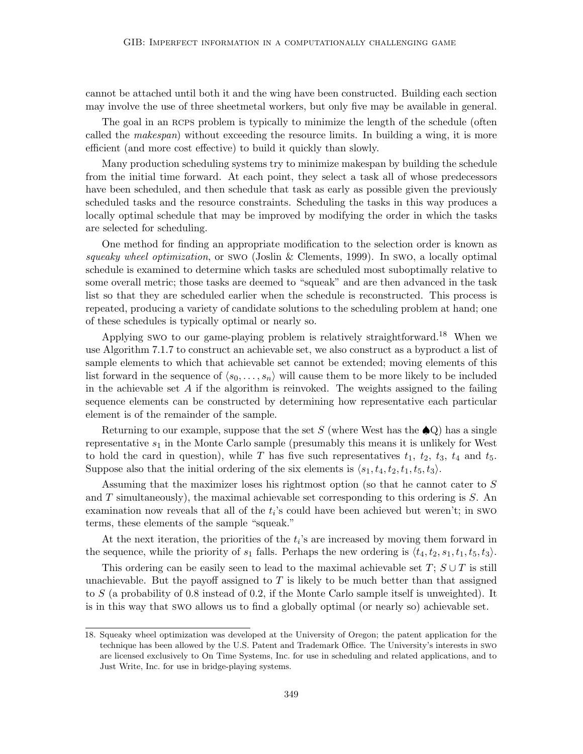cannot be attached until both it and the wing have been constructed. Building each section may involve the use of three sheetmetal workers, but only five may be available in general.

The goal in an RCPS problem is typically to minimize the length of the schedule (often called the makespan) without exceeding the resource limits. In building a wing, it is more efficient (and more cost effective) to build it quickly than slowly.

Many production scheduling systems try to minimize makespan by building the schedule from the initial time forward. At each point, they select a task all of whose predecessors have been scheduled, and then schedule that task as early as possible given the previously scheduled tasks and the resource constraints. Scheduling the tasks in this way produces a locally optimal schedule that may be improved by modifying the order in which the tasks are selected for scheduling.

One method for finding an appropriate modification to the selection order is known as squeaky wheel optimization, or swo (Joslin & Clements, 1999). In swo, a locally optimal schedule is examined to determine which tasks are scheduled most suboptimally relative to some overall metric; those tasks are deemed to "squeak" and are then advanced in the task list so that they are scheduled earlier when the schedule is reconstructed. This process is repeated, producing a variety of candidate solutions to the scheduling problem at hand; one of these schedules is typically optimal or nearly so.

Applying swo to our game-playing problem is relatively straightforward.<sup>18</sup> When we use Algorithm 7.1.7 to construct an achievable set, we also construct as a byproduct a list of sample elements to which that achievable set cannot be extended; moving elements of this list forward in the sequence of  $\langle s_0, \ldots, s_n \rangle$  will cause them to be more likely to be included in the achievable set  $A$  if the algorithm is reinvoked. The weights assigned to the failing sequence elements can be constructed by determining how representative each particular element is of the remainder of the sample.

Returning to our example, suppose that the set S (where West has the  $\spadesuit Q$ ) has a single representative  $s_1$  in the Monte Carlo sample (presumably this means it is unlikely for West to hold the card in question), while T has five such representatives  $t_1$ ,  $t_2$ ,  $t_3$ ,  $t_4$  and  $t_5$ . Suppose also that the initial ordering of the six elements is  $\langle s_1, t_4, t_2, t_1, t_5, t_3 \rangle$ .

Assuming that the maximizer loses his rightmost option (so that he cannot cater to S and  $T$  simultaneously), the maximal achievable set corresponding to this ordering is  $S$ . An examination now reveals that all of the  $t_i$ 's could have been achieved but weren't; in swo terms, these elements of the sample "squeak."

At the next iteration, the priorities of the  $t_i$ 's are increased by moving them forward in the sequence, while the priority of  $s_1$  falls. Perhaps the new ordering is  $\langle t_4, t_2, s_1, t_1, t_5, t_3 \rangle$ .

This ordering can be easily seen to lead to the maximal achievable set  $T$ ;  $S \cup T$  is still unachievable. But the payoff assigned to  $T$  is likely to be much better than that assigned to S (a probability of 0.8 instead of 0.2, if the Monte Carlo sample itself is unweighted). It is in this way that swo allows us to find a globally optimal (or nearly so) achievable set.

<sup>18.</sup> Squeaky wheel optimization was developed at the University of Oregon; the patent application for the technique has been allowed by the U.S. Patent and Trademark Office. The University's interests in swo are licensed exclusively to On Time Systems, Inc. for use in scheduling and related applications, and to Just Write, Inc. for use in bridge-playing systems.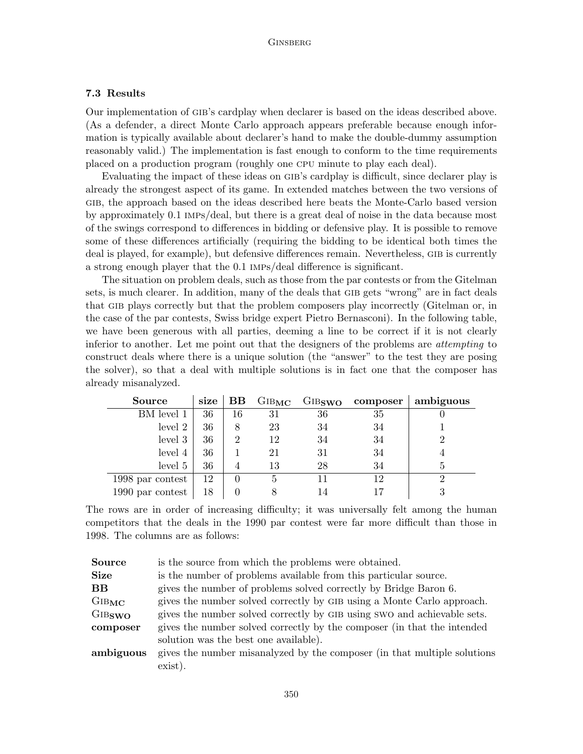# 7.3 Results

Our implementation of gib's cardplay when declarer is based on the ideas described above. (As a defender, a direct Monte Carlo approach appears preferable because enough information is typically available about declarer's hand to make the double-dummy assumption reasonably valid.) The implementation is fast enough to conform to the time requirements placed on a production program (roughly one cpu minute to play each deal).

Evaluating the impact of these ideas on gib's cardplay is difficult, since declarer play is already the strongest aspect of its game. In extended matches between the two versions of gib, the approach based on the ideas described here beats the Monte-Carlo based version by approximately 0.1 imps/deal, but there is a great deal of noise in the data because most of the swings correspond to differences in bidding or defensive play. It is possible to remove some of these differences artificially (requiring the bidding to be identical both times the deal is played, for example), but defensive differences remain. Nevertheless, GIB is currently a strong enough player that the 0.1 imps/deal difference is significant.

The situation on problem deals, such as those from the par contests or from the Gitelman sets, is much clearer. In addition, many of the deals that GIB gets "wrong" are in fact deals that gib plays correctly but that the problem composers play incorrectly (Gitelman or, in the case of the par contests, Swiss bridge expert Pietro Bernasconi). In the following table, we have been generous with all parties, deeming a line to be correct if it is not clearly inferior to another. Let me point out that the designers of the problems are *attempting* to construct deals where there is a unique solution (the "answer" to the test they are posing the solver), so that a deal with multiple solutions is in fact one that the composer has already misanalyzed.

| <b>Source</b>    | size | $_{\rm BB}$ | $\rm GIB_{MC}$ |    | $\rm{GIB}_{\rm{SWO}}$ composer | ambiguous |
|------------------|------|-------------|----------------|----|--------------------------------|-----------|
| BM level 1       | 36   | 16          | 31             | 36 | 35                             |           |
| level 2          | 36   | 8           | 23             | 34 | 34                             |           |
| level 3          | 36   | 2           | 12             | 34 | 34                             |           |
| level 4          | 36   |             | 21             | 31 | 34                             |           |
| level 5          | 36   |             | 13             | 28 | 34                             | Ð         |
| 1998 par contest | 12   |             | 5              | 11 | 12                             | റ         |
| 1990 par contest | 18   |             |                | 14 |                                |           |

The rows are in order of increasing difficulty; it was universally felt among the human competitors that the deals in the 1990 par contest were far more difficult than those in 1998. The columns are as follows:

| <b>Source</b>      | is the source from which the problems were obtained.                     |
|--------------------|--------------------------------------------------------------------------|
| <b>Size</b>        | is the number of problems available from this particular source.         |
| $_{\rm BB}$        | gives the number of problems solved correctly by Bridge Baron 6.         |
| GIBMC              | gives the number solved correctly by GIB using a Monte Carlo approach.   |
| GIB <sub>SWO</sub> | gives the number solved correctly by GIB using SWO and achievable sets.  |
| composer           | gives the number solved correctly by the composer (in that the intended  |
|                    | solution was the best one available).                                    |
| ambiguous          | gives the number misanalyzed by the composer (in that multiple solutions |
|                    | exist).                                                                  |
|                    |                                                                          |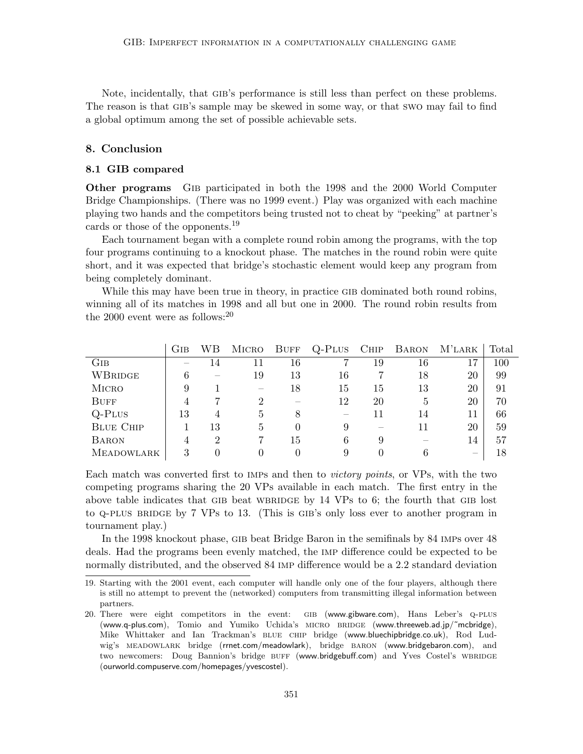Note, incidentally, that GIB's performance is still less than perfect on these problems. The reason is that GIB's sample may be skewed in some way, or that swo may fail to find a global optimum among the set of possible achievable sets.

### 8. Conclusion

#### 8.1 GIB compared

Other programs Gib participated in both the 1998 and the 2000 World Computer Bridge Championships. (There was no 1999 event.) Play was organized with each machine playing two hands and the competitors being trusted not to cheat by "peeking" at partner's cards or those of the opponents.<sup>19</sup>

Each tournament began with a complete round robin among the programs, with the top four programs continuing to a knockout phase. The matches in the round robin were quite short, and it was expected that bridge's stochastic element would keep any program from being completely dominant.

While this may have been true in theory, in practice GIB dominated both round robins, winning all of its matches in 1998 and all but one in 2000. The round robin results from the 2000 event were as follows: $20$ 

|                   | Gib | WВ             | MICRO                                 | <b>BUFF</b> | $Q$ -Plus | CHIP | <b>BARON</b> | M'LARK | Total |
|-------------------|-----|----------------|---------------------------------------|-------------|-----------|------|--------------|--------|-------|
| Gib               |     | 14             | 11                                    | 16          |           | 19   | 16           | 17     | 100   |
| WBRIDGE           | 6   |                | 19                                    | 13          | 16        |      | 18           | 20     | 99    |
| <b>MICRO</b>      |     |                | $\hspace{1.0cm} \rule{1.5cm}{0.15cm}$ | 18          | 15        | 15   | 13           | 20     | 91    |
| <b>BUFF</b>       |     |                | 2                                     |             | 12        | 20   | .5           | 20     | 70    |
| $Q$ -Plus         | 13  | 4              | 5                                     | 8           |           | 11   | 14           |        | 66    |
| <b>BLUE CHIP</b>  |     | 13             | 5                                     | $\theta$    | 9         |      | 11           | 20     | 59    |
| <b>BARON</b>      |     | $\overline{2}$ |                                       | 15          | 6         | 9    |              | 14     | 57    |
| <b>MEADOWLARK</b> | 3   |                | 0                                     | 0           | 9         |      |              |        | 18    |

Each match was converted first to IMPs and then to *victory points*, or VPs, with the two competing programs sharing the 20 VPs available in each match. The first entry in the above table indicates that GIB beat WBRIDGE by  $14$  VPs to 6; the fourth that GIB lost to Q-PLUS BRIDGE by 7 VPs to 13. (This is GIB's only loss ever to another program in tournament play.)

In the 1998 knockout phase, gib beat Bridge Baron in the semifinals by 84 imps over 48 deals. Had the programs been evenly matched, the imp difference could be expected to be normally distributed, and the observed 84 imp difference would be a 2.2 standard deviation

<sup>19.</sup> Starting with the 2001 event, each computer will handle only one of the four players, although there is still no attempt to prevent the (networked) computers from transmitting illegal information between partners.

<sup>20.</sup> There were eight competitors in the event: gib (www.gibware.com), Hans Leber's q-plus (www.q-plus.com), Tomio and Yumiko Uchida's micro bridge (www.threeweb.ad.jp/˜mcbridge), Mike Whittaker and Ian Trackman's BLUE CHIP bridge (www.bluechipbridge.co.uk), Rod Ludwig's meadowlark bridge (rrnet.com/meadowlark), bridge baron (www.bridgebaron.com), and two newcomers: Doug Bannion's bridge BUFF (www.bridgebuff.com) and Yves Costel's WBRIDGE (ourworld.compuserve.com/homepages/yvescostel).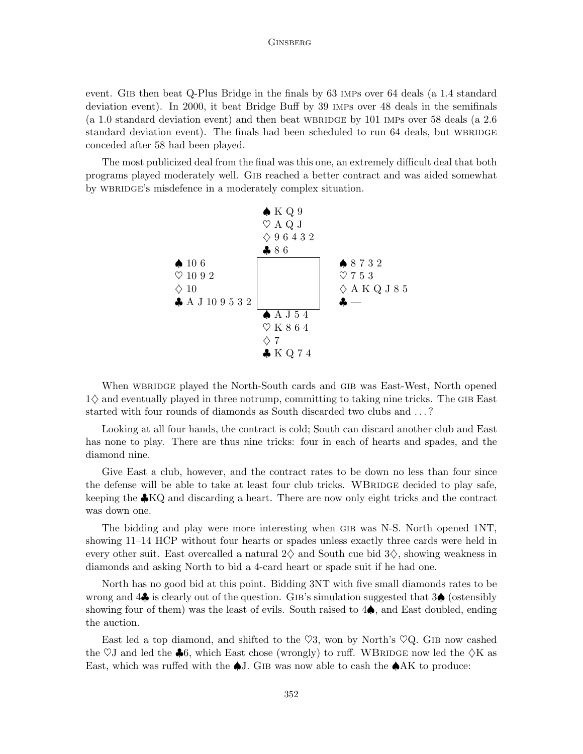event. GIB then beat Q-Plus Bridge in the finals by 63 IMPs over 64 deals (a 1.4 standard deviation event). In 2000, it beat Bridge Buff by 39 imps over 48 deals in the semifinals (a 1.0 standard deviation event) and then beat WBRIDGE by 101 IMPs over 58 deals (a  $2.6$ ) standard deviation event). The finals had been scheduled to run 64 deals, but WBRIDGE conceded after 58 had been played.

The most publicized deal from the final was this one, an extremely difficult deal that both programs played moderately well. Gib reached a better contract and was aided somewhat by WBRIDGE's misdefence in a moderately complex situation.



When WBRIDGE played the North-South cards and GIB was East-West, North opened  $1\diamond$  and eventually played in three notrump, committing to taking nine tricks. The GIB East started with four rounds of diamonds as South discarded two clubs and . . . ?

Looking at all four hands, the contract is cold; South can discard another club and East has none to play. There are thus nine tricks: four in each of hearts and spades, and the diamond nine.

Give East a club, however, and the contract rates to be down no less than four since the defense will be able to take at least four club tricks. WBRIDGE decided to play safe, keeping the  $\clubsuit$ KQ and discarding a heart. There are now only eight tricks and the contract was down one.

The bidding and play were more interesting when gib was N-S. North opened 1NT, showing 11–14 HCP without four hearts or spades unless exactly three cards were held in every other suit. East overcalled a natural  $2\diamondsuit$  and South cue bid  $3\diamondsuit$ , showing weakness in diamonds and asking North to bid a 4-card heart or spade suit if he had one.

North has no good bid at this point. Bidding 3NT with five small diamonds rates to be wrong and 4♣ is clearly out of the question. Gib's simulation suggested that 3♠ (ostensibly showing four of them) was the least of evils. South raised to  $4\spadesuit$ , and East doubled, ending the auction.

East led a top diamond, and shifted to the  $\heartsuit 3$ , won by North's  $\heartsuit Q$ . GIB now cashed the  $\heartsuit J$  and led the  $\clubsuit 6$ , which East chose (wrongly) to ruff. WBRIDGE now led the  $\Diamond K$  as East, which was ruffed with the  $\clubsuit$ J. GIB was now able to cash the  $\spadesuit AK$  to produce: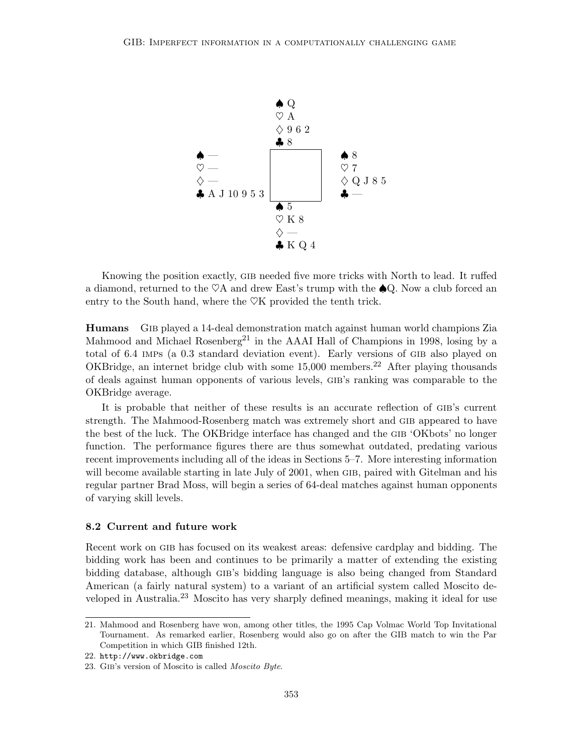

Knowing the position exactly, gib needed five more tricks with North to lead. It ruffed a diamond, returned to the  $\heartsuit A$  and drew East's trump with the  $\clubsuit Q$ . Now a club forced an entry to the South hand, where the  $\heartsuit K$  provided the tenth trick.

Humans Gib played a 14-deal demonstration match against human world champions Zia Mahmood and Michael Rosenberg<sup>21</sup> in the AAAI Hall of Champions in 1998, losing by a total of 6.4 IMPs (a 0.3 standard deviation event). Early versions of GIB also played on OKBridge, an internet bridge club with some 15,000 members.<sup>22</sup> After playing thousands of deals against human opponents of various levels, gib's ranking was comparable to the OKBridge average.

It is probable that neither of these results is an accurate reflection of gib's current strength. The Mahmood-Rosenberg match was extremely short and gib appeared to have the best of the luck. The OKBridge interface has changed and the gib 'OKbots' no longer function. The performance figures there are thus somewhat outdated, predating various recent improvements including all of the ideas in Sections 5–7. More interesting information will become available starting in late July of 2001, when GIB, paired with Gitelman and his regular partner Brad Moss, will begin a series of 64-deal matches against human opponents of varying skill levels.

### 8.2 Current and future work

Recent work on gib has focused on its weakest areas: defensive cardplay and bidding. The bidding work has been and continues to be primarily a matter of extending the existing bidding database, although gib's bidding language is also being changed from Standard American (a fairly natural system) to a variant of an artificial system called Moscito developed in Australia.<sup>23</sup> Moscito has very sharply defined meanings, making it ideal for use

<sup>21.</sup> Mahmood and Rosenberg have won, among other titles, the 1995 Cap Volmac World Top Invitational Tournament. As remarked earlier, Rosenberg would also go on after the GIB match to win the Par Competition in which GIB finished 12th.

<sup>22.</sup> http://www.okbridge.com

<sup>23.</sup> Gib's version of Moscito is called Moscito Byte.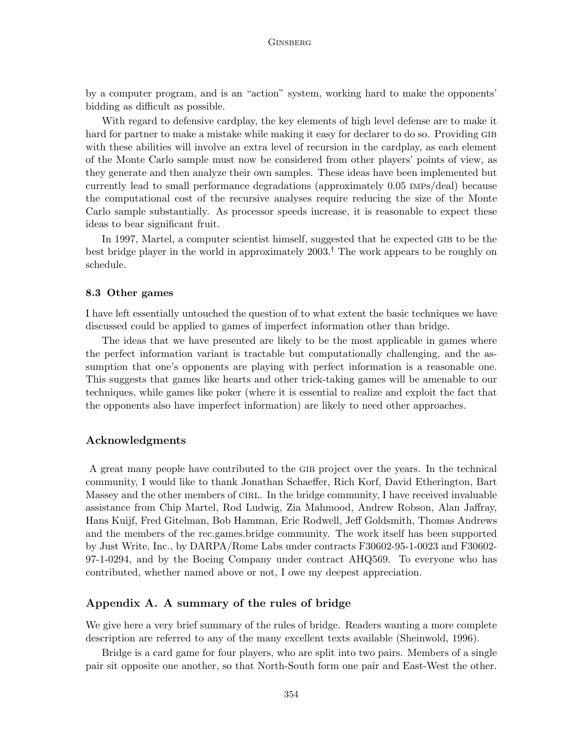by a computer program, and is an "action" system, working hard to make the opponents' bidding as difficult as possible.

With regard to defensive cardplay, the key elements of high level defense are to make it hard for partner to make a mistake while making it easy for declarer to do so. Providing GIB with these abilities will involve an extra level of recursion in the cardplay, as each element of the Monte Carlo sample must now be considered from other players' points of view, as they generate and then analyze their own samples. These ideas have been implemented but currently lead to small performance degradations (approximately 0.05 imps/deal) because the computational cost of the recursive analyses require reducing the size of the Monte Carlo sample substantially. As processor speeds increase, it is reasonable to expect these ideas to bear significant fruit.

In 1997, Martel, a computer scientist himself, suggested that he expected gib to be the best bridge player in the world in approximately  $2003<sup>†</sup>$ . The work appears to be roughly on schedule.

### 8.3 Other games

I have left essentially untouched the question of to what extent the basic techniques we have discussed could be applied to games of imperfect information other than bridge.

The ideas that we have presented are likely to be the most applicable in games where the perfect information variant is tractable but computationally challenging, and the assumption that one's opponents are playing with perfect information is a reasonable one. This suggests that games like hearts and other trick-taking games will be amenable to our techniques, while games like poker (where it is essential to realize and exploit the fact that the opponents also have imperfect information) are likely to need other approaches.

### Acknowledgments

A great many people have contributed to the GIB project over the years. In the technical community, I would like to thank Jonathan Schaeffer, Rich Korf, David Etherington, Bart Massey and the other members of CIRL. In the bridge community, I have received invaluable assistance from Chip Martel, Rod Ludwig, Zia Mahmood, Andrew Robson, Alan Jaffray, Hans Kuijf, Fred Gitelman, Bob Hamman, Eric Rodwell, Jeff Goldsmith, Thomas Andrews and the members of the rec.games.bridge community. The work itself has been supported by Just Write, Inc., by DARPA/Rome Labs under contracts F30602-95-1-0023 and F30602- 97-1-0294, and by the Boeing Company under contract AHQ569. To everyone who has contributed, whether named above or not, I owe my deepest appreciation.

### Appendix A. A summary of the rules of bridge

We give here a very brief summary of the rules of bridge. Readers wanting a more complete description are referred to any of the many excellent texts available (Sheinwold, 1996).

Bridge is a card game for four players, who are split into two pairs. Members of a single pair sit opposite one another, so that North-South form one pair and East-West the other.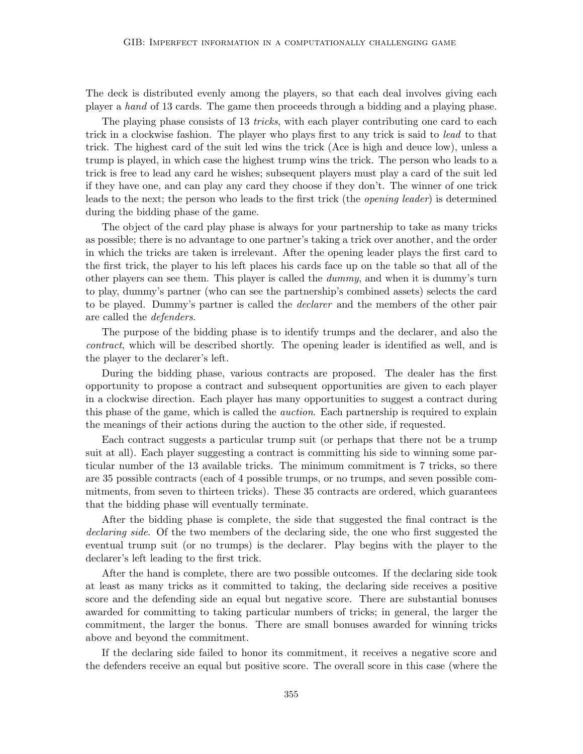The deck is distributed evenly among the players, so that each deal involves giving each player a hand of 13 cards. The game then proceeds through a bidding and a playing phase.

The playing phase consists of 13 *tricks*, with each player contributing one card to each trick in a clockwise fashion. The player who plays first to any trick is said to lead to that trick. The highest card of the suit led wins the trick (Ace is high and deuce low), unless a trump is played, in which case the highest trump wins the trick. The person who leads to a trick is free to lead any card he wishes; subsequent players must play a card of the suit led if they have one, and can play any card they choose if they don't. The winner of one trick leads to the next; the person who leads to the first trick (the opening leader) is determined during the bidding phase of the game.

The object of the card play phase is always for your partnership to take as many tricks as possible; there is no advantage to one partner's taking a trick over another, and the order in which the tricks are taken is irrelevant. After the opening leader plays the first card to the first trick, the player to his left places his cards face up on the table so that all of the other players can see them. This player is called the dummy, and when it is dummy's turn to play, dummy's partner (who can see the partnership's combined assets) selects the card to be played. Dummy's partner is called the *declarer* and the members of the other pair are called the defenders.

The purpose of the bidding phase is to identify trumps and the declarer, and also the contract, which will be described shortly. The opening leader is identified as well, and is the player to the declarer's left.

During the bidding phase, various contracts are proposed. The dealer has the first opportunity to propose a contract and subsequent opportunities are given to each player in a clockwise direction. Each player has many opportunities to suggest a contract during this phase of the game, which is called the *auction*. Each partnership is required to explain the meanings of their actions during the auction to the other side, if requested.

Each contract suggests a particular trump suit (or perhaps that there not be a trump suit at all). Each player suggesting a contract is committing his side to winning some particular number of the 13 available tricks. The minimum commitment is 7 tricks, so there are 35 possible contracts (each of 4 possible trumps, or no trumps, and seven possible commitments, from seven to thirteen tricks). These 35 contracts are ordered, which guarantees that the bidding phase will eventually terminate.

After the bidding phase is complete, the side that suggested the final contract is the declaring side. Of the two members of the declaring side, the one who first suggested the eventual trump suit (or no trumps) is the declarer. Play begins with the player to the declarer's left leading to the first trick.

After the hand is complete, there are two possible outcomes. If the declaring side took at least as many tricks as it committed to taking, the declaring side receives a positive score and the defending side an equal but negative score. There are substantial bonuses awarded for committing to taking particular numbers of tricks; in general, the larger the commitment, the larger the bonus. There are small bonuses awarded for winning tricks above and beyond the commitment.

If the declaring side failed to honor its commitment, it receives a negative score and the defenders receive an equal but positive score. The overall score in this case (where the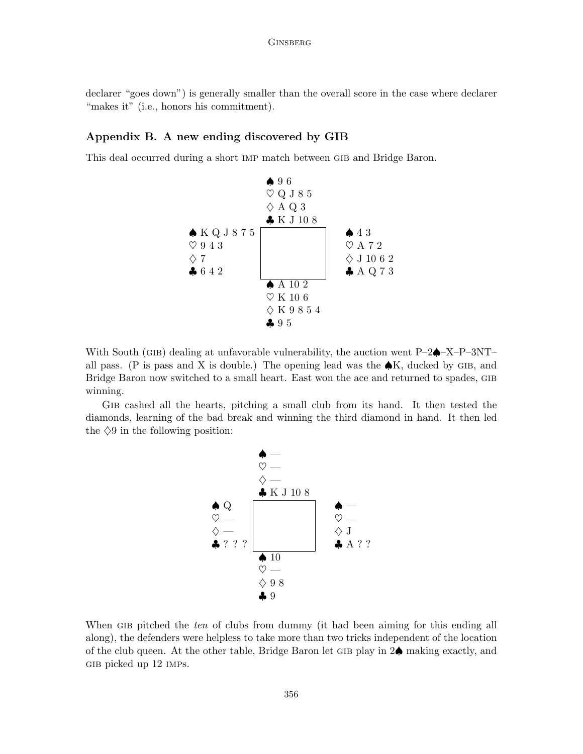declarer "goes down") is generally smaller than the overall score in the case where declarer "makes it" (i.e., honors his commitment).

# Appendix B. A new ending discovered by GIB

This deal occurred during a short imp match between gib and Bridge Baron.



With South (GIB) dealing at unfavorable vulnerability, the auction went  $P-2\spadesuit$ –X– $P-3NT$ – all pass. (P is pass and X is double.) The opening lead was the  $\clubsuit K$ , ducked by GIB, and Bridge Baron now switched to a small heart. East won the ace and returned to spades, gib winning.

Gib cashed all the hearts, pitching a small club from its hand. It then tested the diamonds, learning of the bad break and winning the third diamond in hand. It then led the  $\Diamond 9$  in the following position:



When GIB pitched the ten of clubs from dummy (it had been aiming for this ending all along), the defenders were helpless to take more than two tricks independent of the location of the club queen. At the other table, Bridge Baron let GIB play in  $2\spadesuit$  making exactly, and GIB picked up 12 IMPs.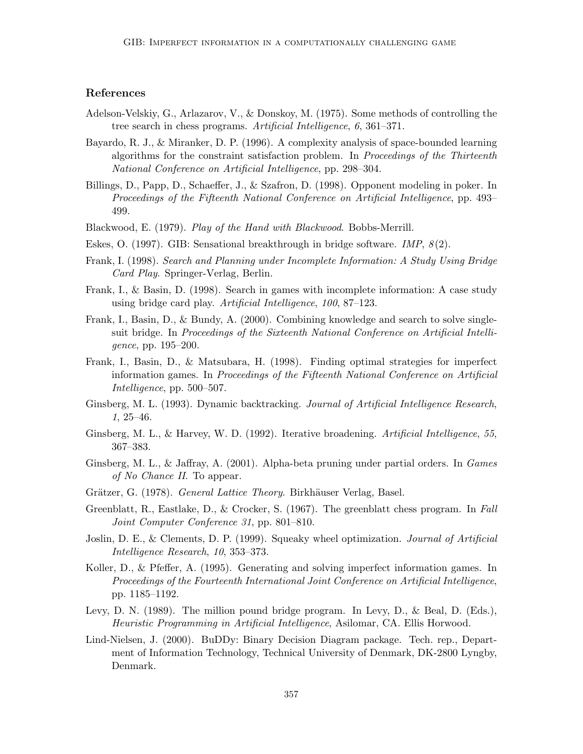# References

- Adelson-Velskiy, G., Arlazarov, V., & Donskoy, M. (1975). Some methods of controlling the tree search in chess programs. Artificial Intelligence, 6, 361–371.
- Bayardo, R. J., & Miranker, D. P. (1996). A complexity analysis of space-bounded learning algorithms for the constraint satisfaction problem. In Proceedings of the Thirteenth National Conference on Artificial Intelligence, pp. 298–304.
- Billings, D., Papp, D., Schaeffer, J., & Szafron, D. (1998). Opponent modeling in poker. In Proceedings of the Fifteenth National Conference on Artificial Intelligence, pp. 493– 499.
- Blackwood, E. (1979). Play of the Hand with Blackwood. Bobbs-Merrill.
- Eskes, O. (1997). GIB: Sensational breakthrough in bridge software. IMP,  $8(2)$ .
- Frank, I. (1998). Search and Planning under Incomplete Information: A Study Using Bridge Card Play. Springer-Verlag, Berlin.
- Frank, I., & Basin, D. (1998). Search in games with incomplete information: A case study using bridge card play. Artificial Intelligence, 100, 87–123.
- Frank, I., Basin, D., & Bundy, A. (2000). Combining knowledge and search to solve singlesuit bridge. In Proceedings of the Sixteenth National Conference on Artificial Intelligence, pp. 195–200.
- Frank, I., Basin, D., & Matsubara, H. (1998). Finding optimal strategies for imperfect information games. In Proceedings of the Fifteenth National Conference on Artificial Intelligence, pp. 500–507.
- Ginsberg, M. L. (1993). Dynamic backtracking. Journal of Artificial Intelligence Research, 1, 25–46.
- Ginsberg, M. L., & Harvey, W. D. (1992). Iterative broadening. Artificial Intelligence, 55, 367–383.
- Ginsberg, M. L., & Jaffray, A. (2001). Alpha-beta pruning under partial orders. In Games of No Chance II. To appear.
- Grätzer, G. (1978). General Lattice Theory. Birkhäuser Verlag, Basel.
- Greenblatt, R., Eastlake, D., & Crocker, S. (1967). The greenblatt chess program. In Fall Joint Computer Conference 31, pp. 801–810.
- Joslin, D. E., & Clements, D. P. (1999). Squeaky wheel optimization. Journal of Artificial Intelligence Research, 10, 353–373.
- Koller, D., & Pfeffer, A. (1995). Generating and solving imperfect information games. In Proceedings of the Fourteenth International Joint Conference on Artificial Intelligence, pp. 1185–1192.
- Levy, D. N. (1989). The million pound bridge program. In Levy, D., & Beal, D. (Eds.), Heuristic Programming in Artificial Intelligence, Asilomar, CA. Ellis Horwood.
- Lind-Nielsen, J. (2000). BuDDy: Binary Decision Diagram package. Tech. rep., Department of Information Technology, Technical University of Denmark, DK-2800 Lyngby, Denmark.